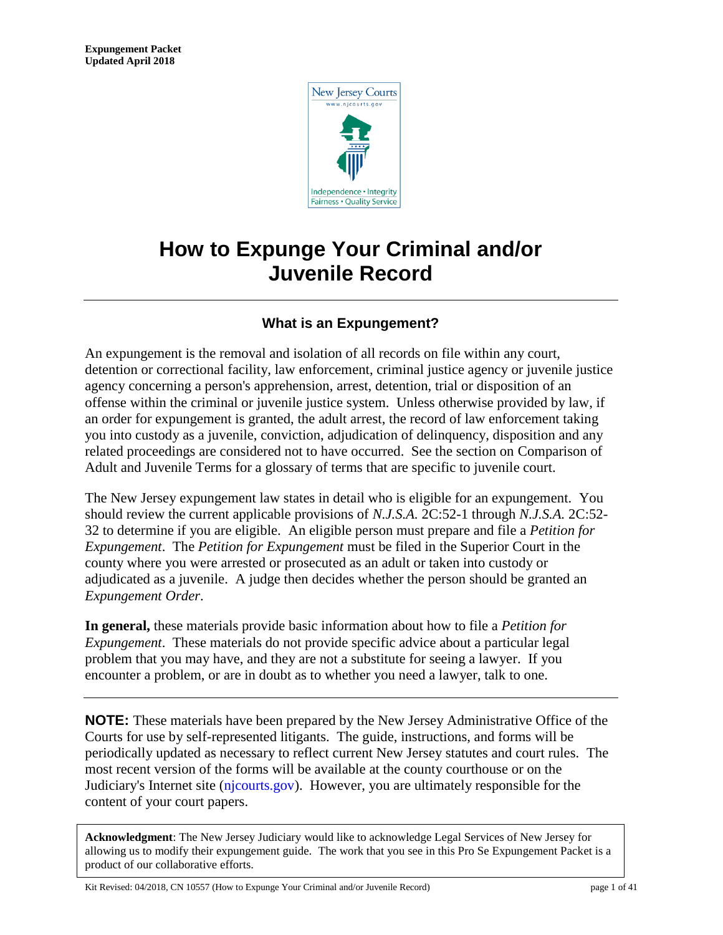

# **How to Expunge Your Criminal and/or Juvenile Record**

# **What is an Expungement?**

An expungement is the removal and isolation of all records on file within any court, detention or correctional facility, law enforcement, criminal justice agency or juvenile justice agency concerning a person's apprehension, arrest, detention, trial or disposition of an offense within the criminal or juvenile justice system. Unless otherwise provided by law, if an order for expungement is granted, the adult arrest, the record of law enforcement taking you into custody as a juvenile, conviction, adjudication of delinquency, disposition and any related proceedings are considered not to have occurred. See the section on Comparison of Adult and Juvenile Terms for a glossary of terms that are specific to juvenile court.

The New Jersey expungement law states in detail who is eligible for an expungement. You should review the current applicable provisions of *N.J.S.A.* 2C:52-1 through *N.J.S.A.* 2C:52- 32 to determine if you are eligible. An eligible person must prepare and file a *Petition for Expungement*. The *Petition for Expungement* must be filed in the Superior Court in the county where you were arrested or prosecuted as an adult or taken into custody or adjudicated as a juvenile. A judge then decides whether the person should be granted an *Expungement Order*.

**In general,** these materials provide basic information about how to file a *Petition for Expungement*. These materials do not provide specific advice about a particular legal problem that you may have, and they are not a substitute for seeing a lawyer. If you encounter a problem, or are in doubt as to whether you need a lawyer, talk to one.

**NOTE:** These materials have been prepared by the New Jersey Administrative Office of the Courts for use by self-represented litigants. The guide, instructions, and forms will be periodically updated as necessary to reflect current New Jersey statutes and court rules. The most recent version of the forms will be available at the county courthouse or on the Judiciary's Internet site [\(njcourts.gov\).](http://www.njcourts.gov/selfhelp/index.html) However, you are ultimately responsible for the content of your court papers.

**Acknowledgment**: The New Jersey Judiciary would like to acknowledge Legal Services of New Jersey for allowing us to modify their expungement guide. The work that you see in this Pro Se Expungement Packet is a product of our collaborative efforts.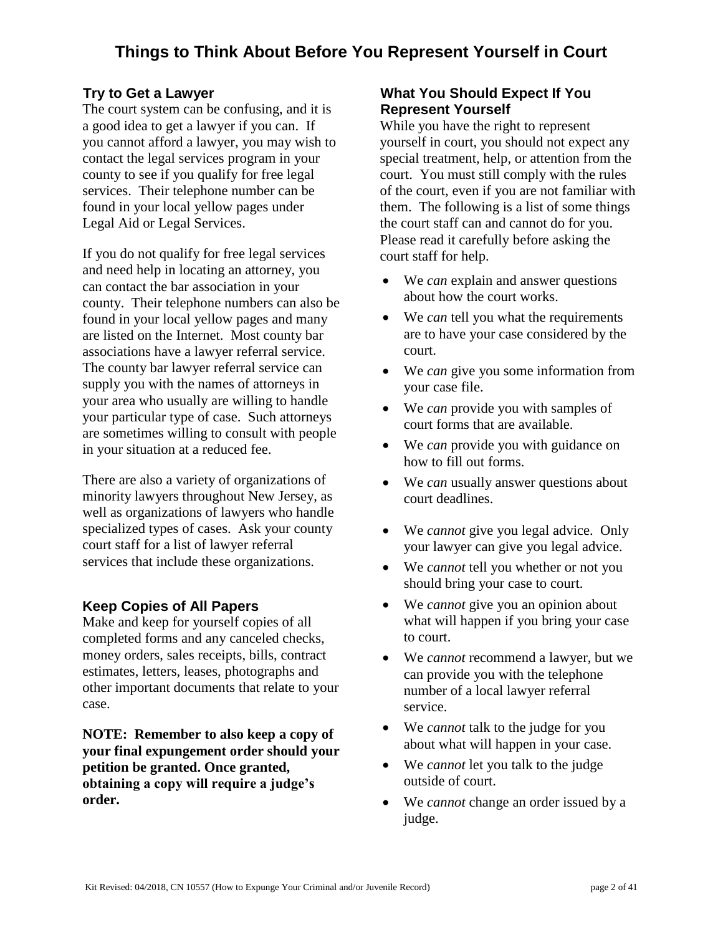# **Try to Get a Lawyer**

The court system can be confusing, and it is a good idea to get a lawyer if you can. If you cannot afford a lawyer, you may wish to contact the legal services program in your county to see if you qualify for free legal services. Their telephone number can be found in your local yellow pages under Legal Aid or Legal Services.

If you do not qualify for free legal services and need help in locating an attorney, you can contact the bar association in your county. Their telephone numbers can also be found in your local yellow pages and many are listed on the Internet. Most county bar associations have a lawyer referral service. The county bar lawyer referral service can supply you with the names of attorneys in your area who usually are willing to handle your particular type of case. Such attorneys are sometimes willing to consult with people in your situation at a reduced fee.

There are also a variety of organizations of minority lawyers throughout New Jersey, as well as organizations of lawyers who handle specialized types of cases. Ask your county court staff for a list of lawyer referral services that include these organizations.

# **Keep Copies of All Papers**

Make and keep for yourself copies of all completed forms and any canceled checks, money orders, sales receipts, bills, contract estimates, letters, leases, photographs and other important documents that relate to your case.

**NOTE: Remember to also keep a copy of your final expungement order should your petition be granted. Once granted, obtaining a copy will require a judge's order.** 

# **What You Should Expect If You Represent Yourself**

While you have the right to represent yourself in court, you should not expect any special treatment, help, or attention from the court. You must still comply with the rules of the court, even if you are not familiar with them. The following is a list of some things the court staff can and cannot do for you. Please read it carefully before asking the court staff for help.

- We *can* explain and answer questions about how the court works.
- We *can* tell you what the requirements are to have your case considered by the court.
- We *can* give you some information from your case file.
- We *can* provide you with samples of court forms that are available.
- We *can* provide you with guidance on how to fill out forms.
- We *can* usually answer questions about court deadlines.
- We *cannot* give you legal advice. Only your lawyer can give you legal advice.
- We *cannot* tell you whether or not you should bring your case to court.
- We *cannot* give you an opinion about what will happen if you bring your case to court.
- We *cannot* recommend a lawyer, but we can provide you with the telephone number of a local lawyer referral service.
- We *cannot* talk to the judge for you about what will happen in your case.
- We *cannot* let you talk to the judge outside of court.
- We *cannot* change an order issued by a judge.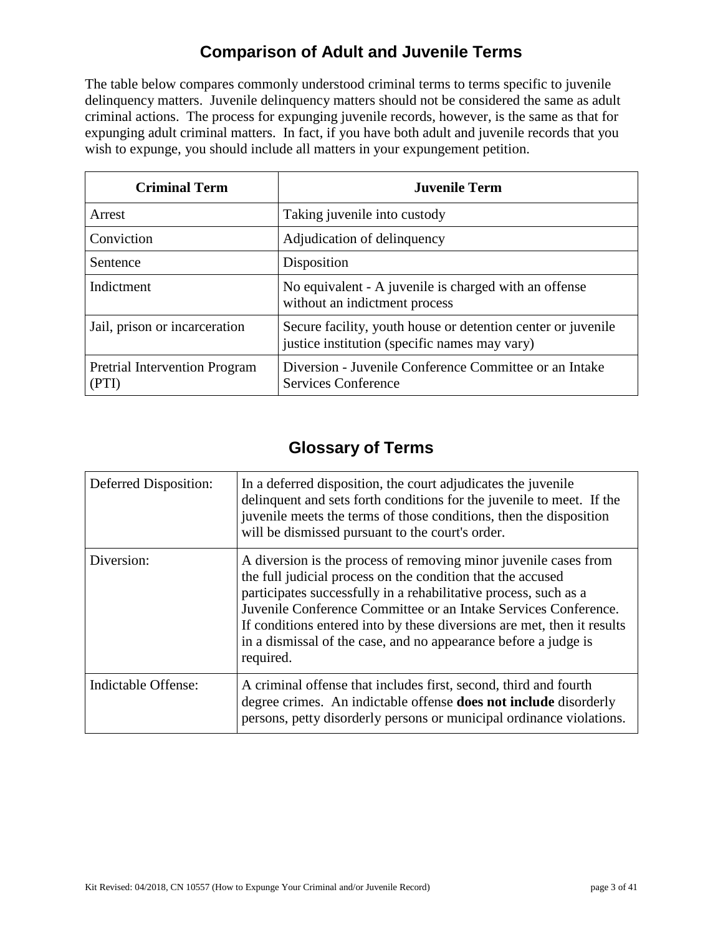# **Comparison of Adult and Juvenile Terms**

The table below compares commonly understood criminal terms to terms specific to juvenile delinquency matters. Juvenile delinquency matters should not be considered the same as adult criminal actions. The process for expunging juvenile records, however, is the same as that for expunging adult criminal matters. In fact, if you have both adult and juvenile records that you wish to expunge, you should include all matters in your expungement petition.

| <b>Criminal Term</b>                          | <b>Juvenile Term</b>                                                                                           |
|-----------------------------------------------|----------------------------------------------------------------------------------------------------------------|
| Arrest                                        | Taking juvenile into custody                                                                                   |
| Conviction                                    | Adjudication of delinquency                                                                                    |
| Sentence                                      | Disposition                                                                                                    |
| Indictment                                    | No equivalent - A juvenile is charged with an offense<br>without an indictment process                         |
| Jail, prison or incarceration                 | Secure facility, youth house or detention center or juvenile.<br>justice institution (specific names may vary) |
| <b>Pretrial Intervention Program</b><br>(PTI) | Diversion - Juvenile Conference Committee or an Intake<br>Services Conference                                  |

# **Glossary of Terms**

| Deferred Disposition: | In a deferred disposition, the court adjudicates the juvenile<br>delinquent and sets forth conditions for the juvenile to meet. If the<br>juvenile meets the terms of those conditions, then the disposition<br>will be dismissed pursuant to the court's order.                                                                                                                                                                  |
|-----------------------|-----------------------------------------------------------------------------------------------------------------------------------------------------------------------------------------------------------------------------------------------------------------------------------------------------------------------------------------------------------------------------------------------------------------------------------|
| Diversion:            | A diversion is the process of removing minor juvenile cases from<br>the full judicial process on the condition that the accused<br>participates successfully in a rehabilitative process, such as a<br>Juvenile Conference Committee or an Intake Services Conference.<br>If conditions entered into by these diversions are met, then it results<br>in a dismissal of the case, and no appearance before a judge is<br>required. |
| Indictable Offense:   | A criminal offense that includes first, second, third and fourth<br>degree crimes. An indictable offense <b>does not include</b> disorderly<br>persons, petty disorderly persons or municipal ordinance violations.                                                                                                                                                                                                               |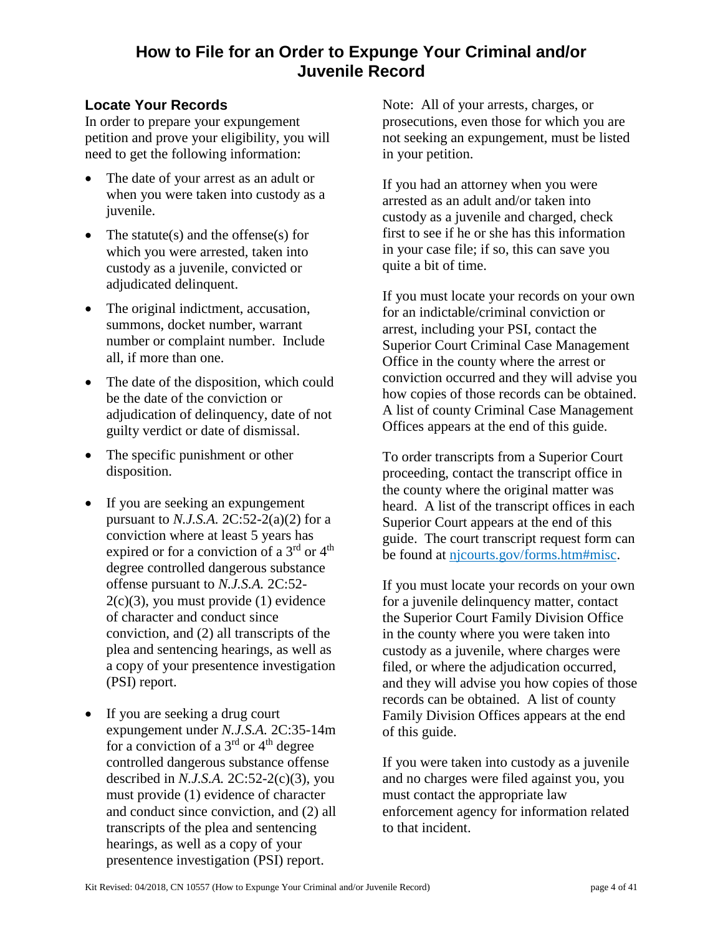# **How to File for an Order to Expunge Your Criminal and/or Juvenile Record**

# **Locate Your Records**

In order to prepare your expungement petition and prove your eligibility, you will need to get the following information:

- The date of your arrest as an adult or when you were taken into custody as a juvenile.
- The statute(s) and the offense(s) for which you were arrested, taken into custody as a juvenile, convicted or adjudicated delinquent.
- The original indictment, accusation, summons, docket number, warrant number or complaint number. Include all, if more than one.
- The date of the disposition, which could be the date of the conviction or adjudication of delinquency, date of not guilty verdict or date of dismissal.
- The specific punishment or other disposition.
- If you are seeking an expungement pursuant to *N.J.S.A.* 2C:52-2(a)(2) for a conviction where at least 5 years has expired or for a conviction of a 3<sup>rd</sup> or 4<sup>th</sup> degree controlled dangerous substance offense pursuant to *N.J.S.A.* 2C:52-  $2(c)(3)$ , you must provide  $(1)$  evidence of character and conduct since conviction, and (2) all transcripts of the plea and sentencing hearings, as well as a copy of your presentence investigation (PSI) report.
- If you are seeking a drug court expungement under *N.J.S.A.* 2C:35-14m for a conviction of a  $3<sup>rd</sup>$  or  $4<sup>th</sup>$  degree controlled dangerous substance offense described in *N.J.S.A.* 2C:52-2(c)(3), you must provide (1) evidence of character and conduct since conviction, and (2) all transcripts of the plea and sentencing hearings, as well as a copy of your presentence investigation (PSI) report.

Note: All of your arrests, charges, or prosecutions, even those for which you are not seeking an expungement, must be listed in your petition.

If you had an attorney when you were arrested as an adult and/or taken into custody as a juvenile and charged, check first to see if he or she has this information in your case file; if so, this can save you quite a bit of time.

If you must locate your records on your own for an indictable/criminal conviction or arrest, including your PSI, contact the Superior Court Criminal Case Management Office in the county where the arrest or conviction occurred and they will advise you how copies of those records can be obtained. A list of county Criminal Case Management Offices appears at the end of this guide.

To order transcripts from a Superior Court proceeding, contact the transcript office in the county where the original matter was heard. A list of the transcript offices in each Superior Court appears at the end of this guide. The court transcript request form can be found at [njcourts.gov/forms.htm#misc.](http://njcourts.gov/forms.htm#misc)

If you must locate your records on your own for a juvenile delinquency matter, contact the Superior Court Family Division Office in the county where you were taken into custody as a juvenile, where charges were filed, or where the adjudication occurred, and they will advise you how copies of those records can be obtained. A list of county Family Division Offices appears at the end of this guide.

If you were taken into custody as a juvenile and no charges were filed against you, you must contact the appropriate law enforcement agency for information related to that incident.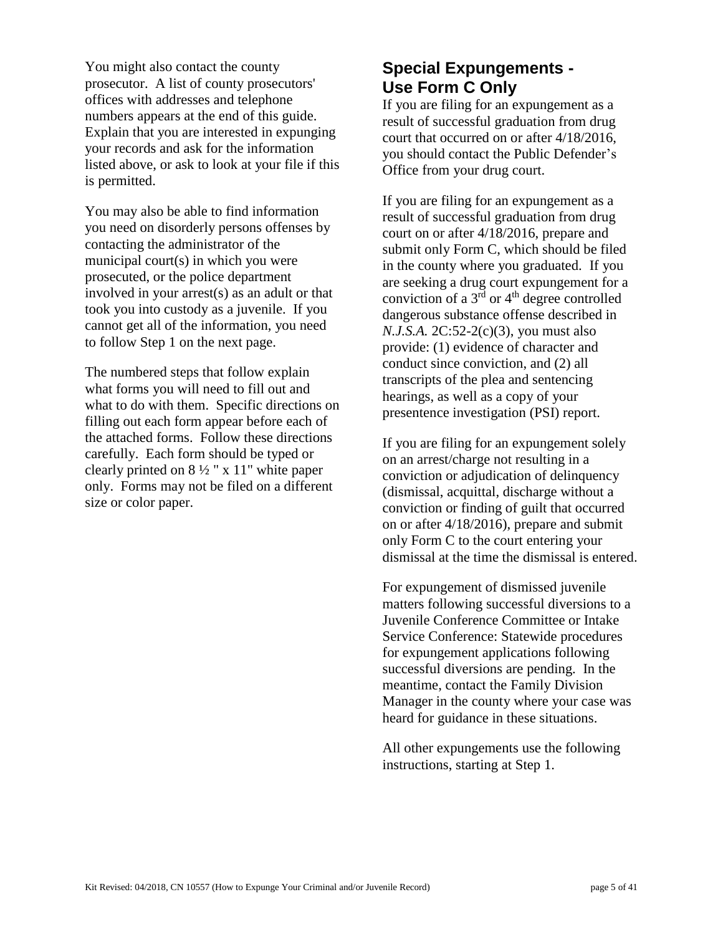You might also contact the county prosecutor. A list of county prosecutors' offices with addresses and telephone numbers appears at the end of this guide. Explain that you are interested in expunging your records and ask for the information listed above, or ask to look at your file if this is permitted.

You may also be able to find information you need on disorderly persons offenses by contacting the administrator of the municipal court(s) in which you were prosecuted, or the police department involved in your arrest(s) as an adult or that took you into custody as a juvenile. If you cannot get all of the information, you need to follow Step 1 on the next page.

The numbered steps that follow explain what forms you will need to fill out and what to do with them. Specific directions on filling out each form appear before each of the attached forms. Follow these directions carefully. Each form should be typed or clearly printed on  $8\frac{1}{2}$  " x 11" white paper only. Forms may not be filed on a different size or color paper.

# **Special Expungements - Use Form C Only**

If you are filing for an expungement as a result of successful graduation from drug court that occurred on or after 4/18/2016, you should contact the Public Defender's Office from your drug court.

If you are filing for an expungement as a result of successful graduation from drug court on or after 4/18/2016, prepare and submit only Form C, which should be filed in the county where you graduated. If you are seeking a drug court expungement for a conviction of a  $3<sup>rd</sup>$  or  $4<sup>th</sup>$  degree controlled dangerous substance offense described in *N.J.S.A.* 2C:52-2(c)(3), you must also provide: (1) evidence of character and conduct since conviction, and (2) all transcripts of the plea and sentencing hearings, as well as a copy of your presentence investigation (PSI) report.

If you are filing for an expungement solely on an arrest/charge not resulting in a conviction or adjudication of delinquency (dismissal, acquittal, discharge without a conviction or finding of guilt that occurred on or after 4/18/2016), prepare and submit only Form C to the court entering your dismissal at the time the dismissal is entered.

For expungement of dismissed juvenile matters following successful diversions to a Juvenile Conference Committee or Intake Service Conference: Statewide procedures for expungement applications following successful diversions are pending. In the meantime, contact the Family Division Manager in the county where your case was heard for guidance in these situations.

All other expungements use the following instructions, starting at Step 1.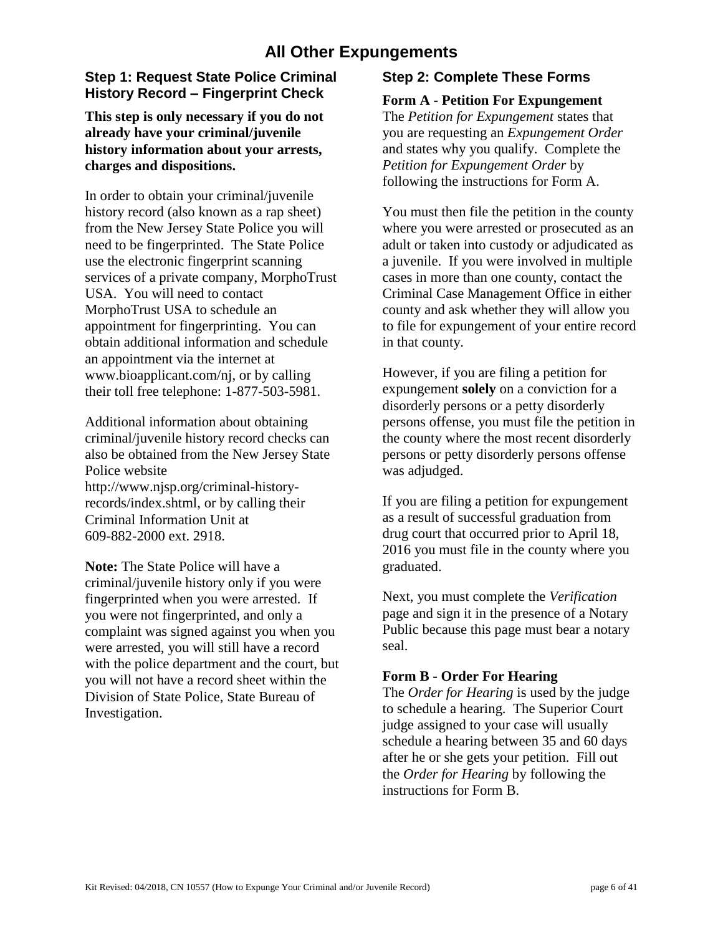# **All Other Expungements**

# **Step 1: Request State Police Criminal History Record – Fingerprint Check**

## **This step is only necessary if you do not already have your criminal/juvenile history information about your arrests, charges and dispositions.**

In order to obtain your criminal/juvenile history record (also known as a rap sheet) from the New Jersey State Police you will need to be fingerprinted. The State Police use the electronic fingerprint scanning services of a private company, MorphoTrust USA. You will need to contact MorphoTrust USA to schedule an appointment for fingerprinting. You can obtain additional information and schedule an appointment via the internet at [www.bioapplicant.com/nj, o](http://www.bioapplicant.com/njs)r by calling their toll free telephone: 1-877-503-5981.

Additional information about obtaining criminal/juvenile history record checks can also be obtained from the New Jersey State Police website [http://www.njsp.org/criminal-h](http://njsp.org/about/serv_chrc.html)istoryrecords/index.shtml, or by calling their Criminal Information Unit at

609-882-2000 ext. 2918.

**Note:** The State Police will have a criminal/juvenile history only if you were fingerprinted when you were arrested. If you were not fingerprinted, and only a complaint was signed against you when you were arrested, you will still have a record with the police department and the court, but you will not have a record sheet within the Division of State Police, State Bureau of Investigation.

# **Step 2: Complete These Forms**

## **Form A - Petition For Expungement**

The *Petition for Expungement* states that you are requesting an *Expungement Order* and states why you qualify. Complete the *Petition for Expungement Order* by following the instructions for Form A.

You must then file the petition in the county where you were arrested or prosecuted as an adult or taken into custody or adjudicated as a juvenile. If you were involved in multiple cases in more than one county, contact the Criminal Case Management Office in either county and ask whether they will allow you to file for expungement of your entire record in that county.

However, if you are filing a petition for expungement **solely** on a conviction for a disorderly persons or a petty disorderly persons offense, you must file the petition in the county where the most recent disorderly persons or petty disorderly persons offense was adjudged.

If you are filing a petition for expungement as a result of successful graduation from drug court that occurred prior to April 18, 2016 you must file in the county where you graduated.

Next, you must complete the *Verification* page and sign it in the presence of a Notary Public because this page must bear a notary seal.

## **Form B - Order For Hearing**

The *Order for Hearing* is used by the judge to schedule a hearing. The Superior Court judge assigned to your case will usually schedule a hearing between 35 and 60 days after he or she gets your petition. Fill out the *Order for Hearing* by following the instructions for Form B.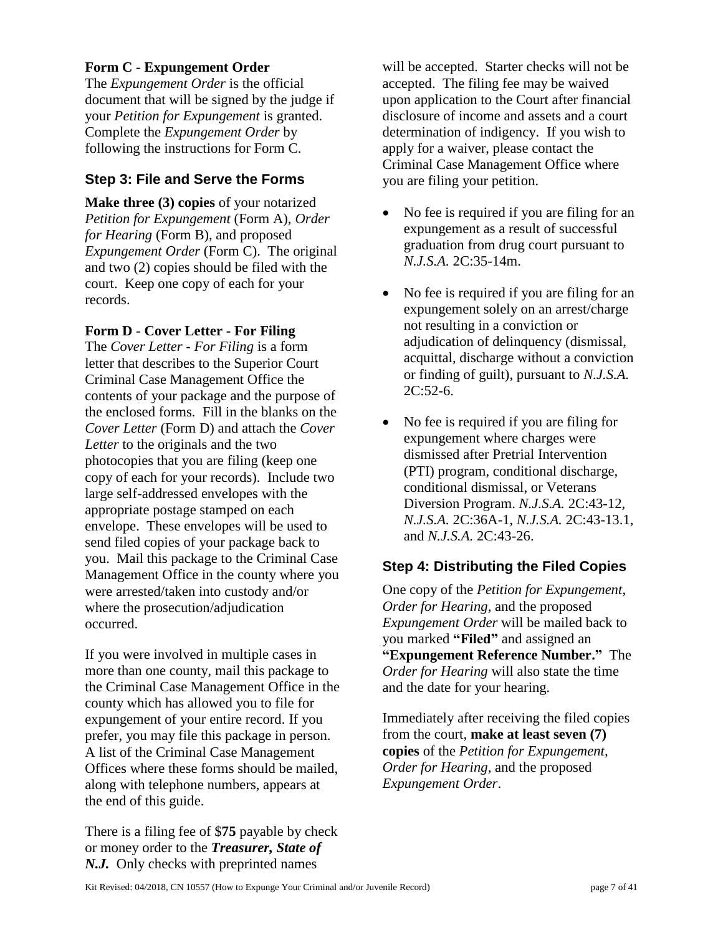## **Form C - Expungement Order**

The *Expungement Order* is the official document that will be signed by the judge if your *Petition for Expungement* is granted. Complete the *Expungement Order* by following the instructions for Form C.

# **Step 3: File and Serve the Forms**

**Make three (3) copies** of your notarized *Petition for Expungement* (Form A), *Order for Hearing* (Form B), and proposed *Expungement Order* (Form C). The original and two (2) copies should be filed with the court. Keep one copy of each for your records.

## **Form D - Cover Letter - For Filing**

The *Cover Letter - For Filing* is a form letter that describes to the Superior Court Criminal Case Management Office the contents of your package and the purpose of the enclosed forms. Fill in the blanks on the *Cover Letter* (Form D) and attach the *Cover Letter* to the originals and the two photocopies that you are filing (keep one copy of each for your records). Include two large self-addressed envelopes with the appropriate postage stamped on each envelope. These envelopes will be used to send filed copies of your package back to you. Mail this package to the Criminal Case Management Office in the county where you were arrested/taken into custody and/or where the prosecution/adjudication occurred.

If you were involved in multiple cases in more than one county, mail this package to the Criminal Case Management Office in the county which has allowed you to file for expungement of your entire record. If you prefer, you may file this package in person. A list of the Criminal Case Management Offices where these forms should be mailed, along with telephone numbers, appears at the end of this guide.

There is a filing fee of \$**75** payable by check or money order to the *Treasurer, State of N.J.* Only checks with preprinted names

will be accepted. Starter checks will not be accepted. The filing fee may be waived upon application to the Court after financial disclosure of income and assets and a court determination of indigency. If you wish to apply for a waiver, please contact the Criminal Case Management Office where you are filing your petition.

- No fee is required if you are filing for an expungement as a result of successful graduation from drug court pursuant to *N.J.S.A.* 2C:35-14m.
- No fee is required if you are filing for an expungement solely on an arrest/charge not resulting in a conviction or adjudication of delinquency (dismissal, acquittal, discharge without a conviction or finding of guilt), pursuant to *N.J.S.A.*  $2C:52-6.$
- No fee is required if you are filing for expungement where charges were dismissed after Pretrial Intervention (PTI) program, conditional discharge, conditional dismissal, or Veterans Diversion Program. *N.J.S.A.* 2C:43-12, *N.J.S.A.* 2C:36A-1, *N.J.S.A.* 2C:43-13.1, and *N.J.S.A.* 2C:43-26.

# **Step 4: Distributing the Filed Copies**

One copy of the *Petition for Expungement*, *Order for Hearing*, and the proposed *Expungement Order* will be mailed back to you marked **"Filed"** and assigned an **"Expungement Reference Number."** The *Order for Hearing* will also state the time and the date for your hearing.

Immediately after receiving the filed copies from the court, **make at least seven (7) copies** of the *Petition for Expungement, Order for Hearing*, and the proposed *Expungement Order*.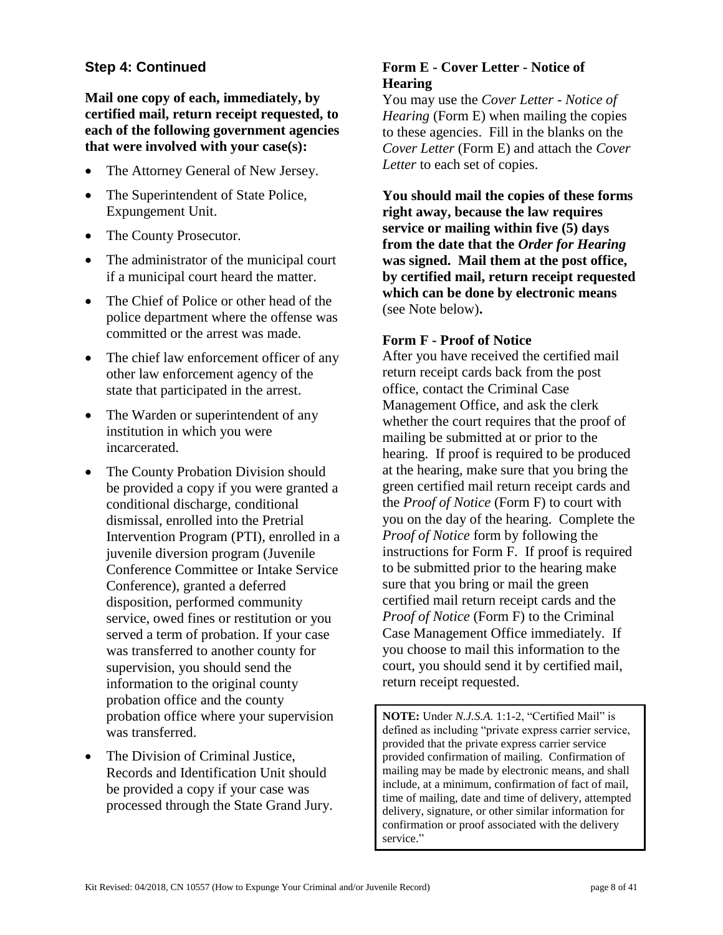# **Step 4: Continued**

**Mail one copy of each, immediately, by certified mail, return receipt requested, to each of the following government agencies that were involved with your case(s):**

- The Attorney General of New Jersey.
- The Superintendent of State Police, Expungement Unit.
- The County Prosecutor.
- The administrator of the municipal court if a municipal court heard the matter.
- The Chief of Police or other head of the police department where the offense was committed or the arrest was made.
- The chief law enforcement officer of any other law enforcement agency of the state that participated in the arrest.
- The Warden or superintendent of any institution in which you were incarcerated.
- The County Probation Division should be provided a copy if you were granted a conditional discharge, conditional dismissal, enrolled into the Pretrial Intervention Program (PTI), enrolled in a juvenile diversion program (Juvenile Conference Committee or Intake Service Conference), granted a deferred disposition, performed community service, owed fines or restitution or you served a term of probation. If your case was transferred to another county for supervision, you should send the information to the original county probation office and the county probation office where your supervision was transferred.
- The Division of Criminal Justice. Records and Identification Unit should be provided a copy if your case was processed through the State Grand Jury.

# **Form E - Cover Letter - Notice of Hearing**

You may use the *Cover Letter - Notice of Hearing* (Form E) when mailing the copies to these agencies. Fill in the blanks on the *Cover Letter* (Form E) and attach the *Cover Letter* to each set of copies.

**You should mail the copies of these forms right away, because the law requires service or mailing within five (5) days from the date that the** *Order for Hearing* **was signed. Mail them at the post office, by certified mail, return receipt requested which can be done by electronic means**  (see Note below)**.**

## **Form F - Proof of Notice**

After you have received the certified mail return receipt cards back from the post office, contact the Criminal Case Management Office, and ask the clerk whether the court requires that the proof of mailing be submitted at or prior to the hearing. If proof is required to be produced at the hearing, make sure that you bring the green certified mail return receipt cards and the *Proof of Notice* (Form F) to court with you on the day of the hearing. Complete the *Proof of Notice* form by following the instructions for Form F. If proof is required to be submitted prior to the hearing make sure that you bring or mail the green certified mail return receipt cards and the *Proof of Notice* (Form F) to the Criminal Case Management Office immediately. If you choose to mail this information to the court, you should send it by certified mail, return receipt requested.

**NOTE:** Under *N.J.S.A.* 1:1-2, "Certified Mail" is defined as including "private express carrier service, provided that the private express carrier service provided confirmation of mailing. Confirmation of mailing may be made by electronic means, and shall include, at a minimum, confirmation of fact of mail, time of mailing, date and time of delivery, attempted delivery, signature, or other similar information for confirmation or proof associated with the delivery service."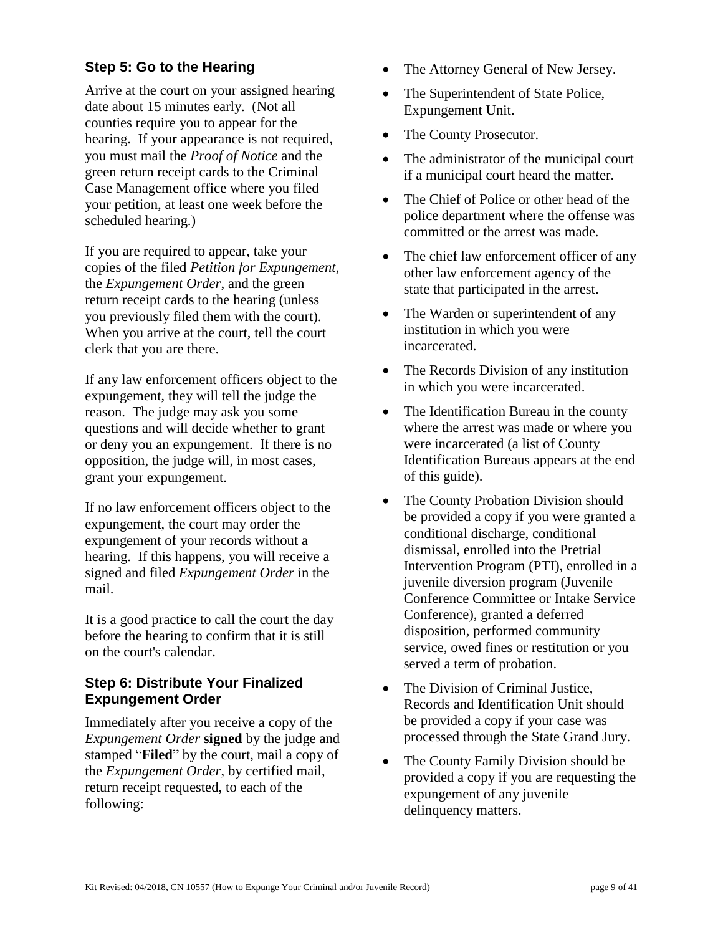# **Step 5: Go to the Hearing**

Arrive at the court on your assigned hearing date about 15 minutes early. (Not all counties require you to appear for the hearing. If your appearance is not required, you must mail the *Proof of Notice* and the green return receipt cards to the Criminal Case Management office where you filed your petition, at least one week before the scheduled hearing.)

If you are required to appear, take your copies of the filed *Petition for Expungement*, the *Expungement Order*, and the green return receipt cards to the hearing (unless you previously filed them with the court). When you arrive at the court, tell the court clerk that you are there.

If any law enforcement officers object to the expungement, they will tell the judge the reason. The judge may ask you some questions and will decide whether to grant or deny you an expungement. If there is no opposition, the judge will, in most cases, grant your expungement.

If no law enforcement officers object to the expungement, the court may order the expungement of your records without a hearing. If this happens, you will receive a signed and filed *Expungement Order* in the mail.

It is a good practice to call the court the day before the hearing to confirm that it is still on the court's calendar.

## **Step 6: Distribute Your Finalized Expungement Order**

Immediately after you receive a copy of the *Expungement Order* **signed** by the judge and stamped "**Filed**" by the court, mail a copy of the *Expungement Order*, by certified mail, return receipt requested, to each of the following:

- The Attorney General of New Jersey.
- The Superintendent of State Police, Expungement Unit.
- The County Prosecutor.
- The administrator of the municipal court if a municipal court heard the matter.
- The Chief of Police or other head of the police department where the offense was committed or the arrest was made.
- The chief law enforcement officer of any other law enforcement agency of the state that participated in the arrest.
- The Warden or superintendent of any institution in which you were incarcerated.
- The Records Division of any institution in which you were incarcerated.
- The Identification Bureau in the county where the arrest was made or where you were incarcerated (a list of County Identification Bureaus appears at the end of this guide).
- The County Probation Division should be provided a copy if you were granted a conditional discharge, conditional dismissal, enrolled into the Pretrial Intervention Program (PTI), enrolled in a juvenile diversion program (Juvenile Conference Committee or Intake Service Conference), granted a deferred disposition, performed community service, owed fines or restitution or you served a term of probation.
- The Division of Criminal Justice. Records and Identification Unit should be provided a copy if your case was processed through the State Grand Jury.
- The County Family Division should be provided a copy if you are requesting the expungement of any juvenile delinquency matters.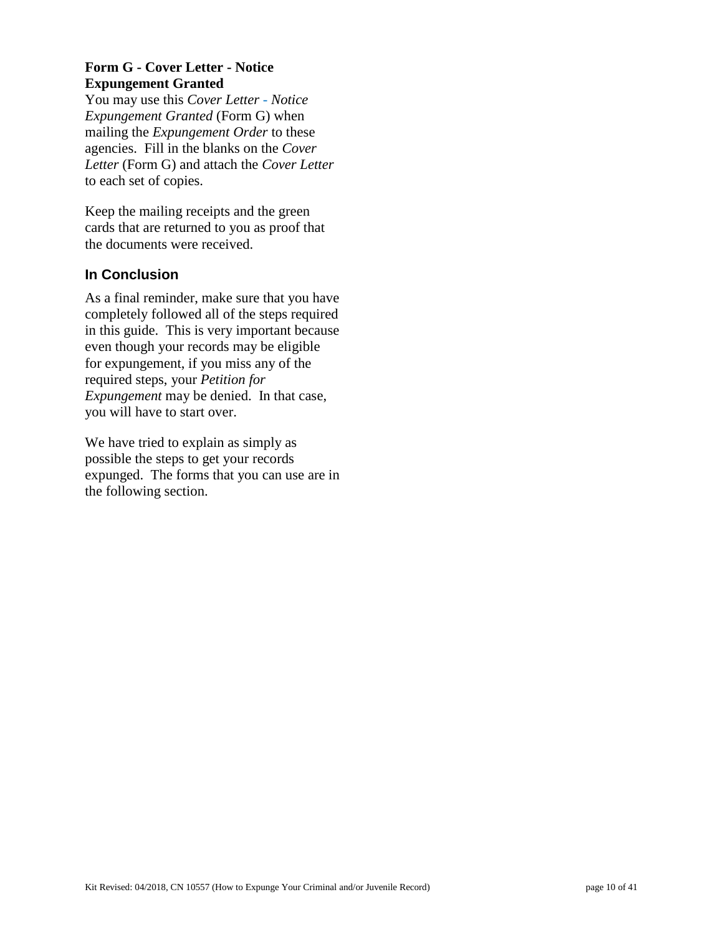# **Form G - Cover Letter - Notice Expungement Granted**

You may use this *Cover Letter - Notice Expungement Granted* (Form G) when mailing the *Expungement Order* to these agencies. Fill in the blanks on the *Cover Letter* (Form G) and attach the *Cover Letter* to each set of copies.

Keep the mailing receipts and the green cards that are returned to you as proof that the documents were received.

# **In Conclusion**

As a final reminder, make sure that you have completely followed all of the steps required in this guide. This is very important because even though your records may be eligible for expungement, if you miss any of the required steps, your *Petition for Expungement* may be denied. In that case, you will have to start over.

We have tried to explain as simply as possible the steps to get your records expunged. The forms that you can use are in the following section.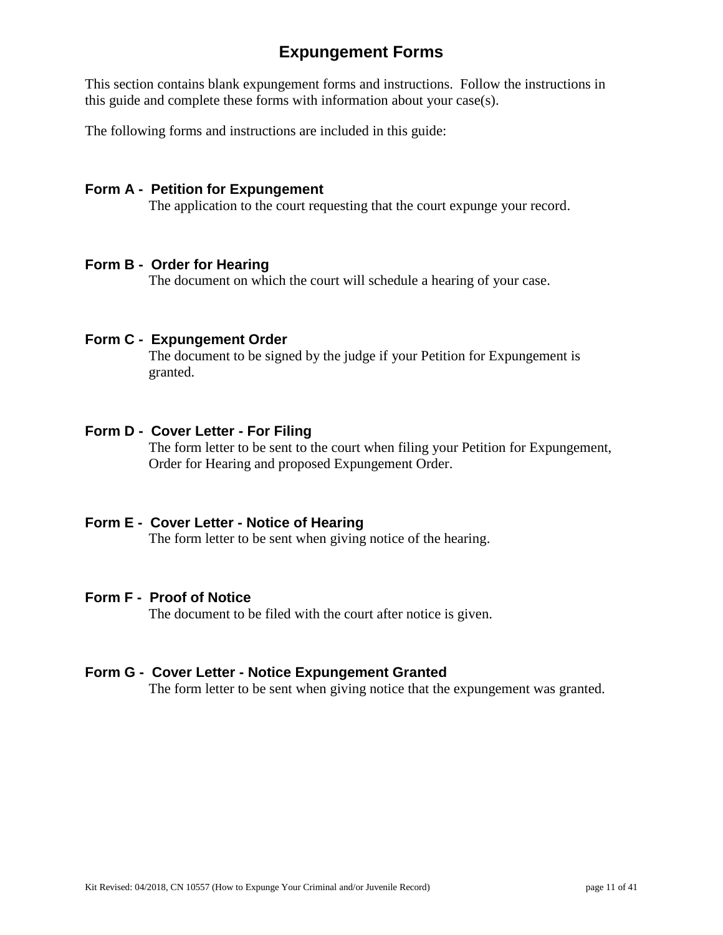# **Expungement Forms**

This section contains blank expungement forms and instructions. Follow the instructions in this guide and complete these forms with information about your case(s).

The following forms and instructions are included in this guide:

## **Form A - Petition for Expungement**

The application to the court requesting that the court expunge your record.

## **Form B - Order for Hearing**

The document on which the court will schedule a hearing of your case.

## **Form C - Expungement Order**

The document to be signed by the judge if your Petition for Expungement is granted.

#### **Form D - Cover Letter - For Filing**

The form letter to be sent to the court when filing your Petition for Expungement, Order for Hearing and proposed Expungement Order.

## **Form E - Cover Letter - Notice of Hearing**

The form letter to be sent when giving notice of the hearing.

## **Form F - Proof of Notice**

The document to be filed with the court after notice is given.

## **Form G - Cover Letter - Notice Expungement Granted**

The form letter to be sent when giving notice that the expungement was granted.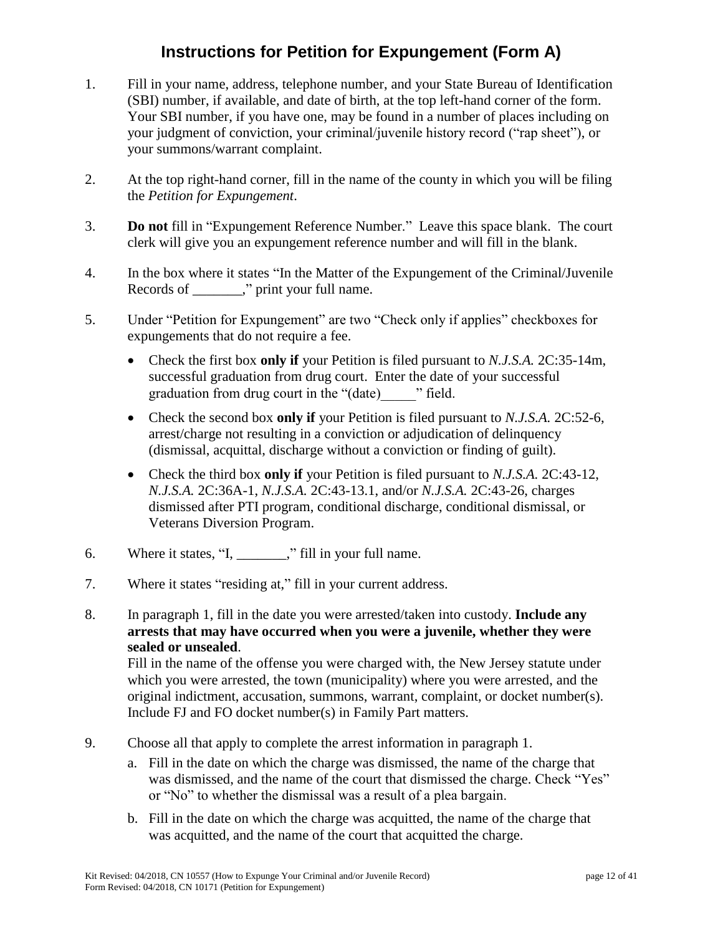# **Instructions for Petition for Expungement (Form A)**

- 1. Fill in your name, address, telephone number, and your State Bureau of Identification (SBI) number, if available, and date of birth, at the top left-hand corner of the form. Your SBI number, if you have one, may be found in a number of places including on your judgment of conviction, your criminal/juvenile history record ("rap sheet"), or your summons/warrant complaint.
- 2. At the top right-hand corner, fill in the name of the county in which you will be filing the *Petition for Expungement*.
- 3. **Do not** fill in "Expungement Reference Number." Leave this space blank. The court clerk will give you an expungement reference number and will fill in the blank.
- 4. In the box where it states "In the Matter of the Expungement of the Criminal/Juvenile Records of \_\_\_\_\_\_\_," print your full name.
- 5. Under "Petition for Expungement" are two "Check only if applies" checkboxes for expungements that do not require a fee.
	- Check the first box **only if** your Petition is filed pursuant to *N.J.S.A.* 2C:35-14m, successful graduation from drug court. Enter the date of your successful graduation from drug court in the "(date)\_\_\_\_\_" field.
	- Check the second box **only if** your Petition is filed pursuant to *N.J.S.A.* 2C:52-6, arrest/charge not resulting in a conviction or adjudication of delinquency (dismissal, acquittal, discharge without a conviction or finding of guilt).
	- Check the third box **only if** your Petition is filed pursuant to *N.J.S.A.* 2C:43-12, *N.J.S.A.* 2C:36A-1, *N.J.S.A.* 2C:43-13.1, and/or *N.J.S.A.* 2C:43-26, charges dismissed after PTI program, conditional discharge, conditional dismissal, or Veterans Diversion Program.
- 6. Where it states, "I, \_\_\_\_\_\_\_," fill in your full name.
- 7. Where it states "residing at," fill in your current address.
- 8. In paragraph 1, fill in the date you were arrested/taken into custody. **Include any arrests that may have occurred when you were a juvenile, whether they were sealed or unsealed**.

Fill in the name of the offense you were charged with, the New Jersey statute under which you were arrested, the town (municipality) where you were arrested, and the original indictment, accusation, summons, warrant, complaint, or docket number(s). Include FJ and FO docket number(s) in Family Part matters.

- 9. Choose all that apply to complete the arrest information in paragraph 1.
	- a. Fill in the date on which the charge was dismissed, the name of the charge that was dismissed, and the name of the court that dismissed the charge. Check "Yes" or "No" to whether the dismissal was a result of a plea bargain.
	- b. Fill in the date on which the charge was acquitted, the name of the charge that was acquitted, and the name of the court that acquitted the charge.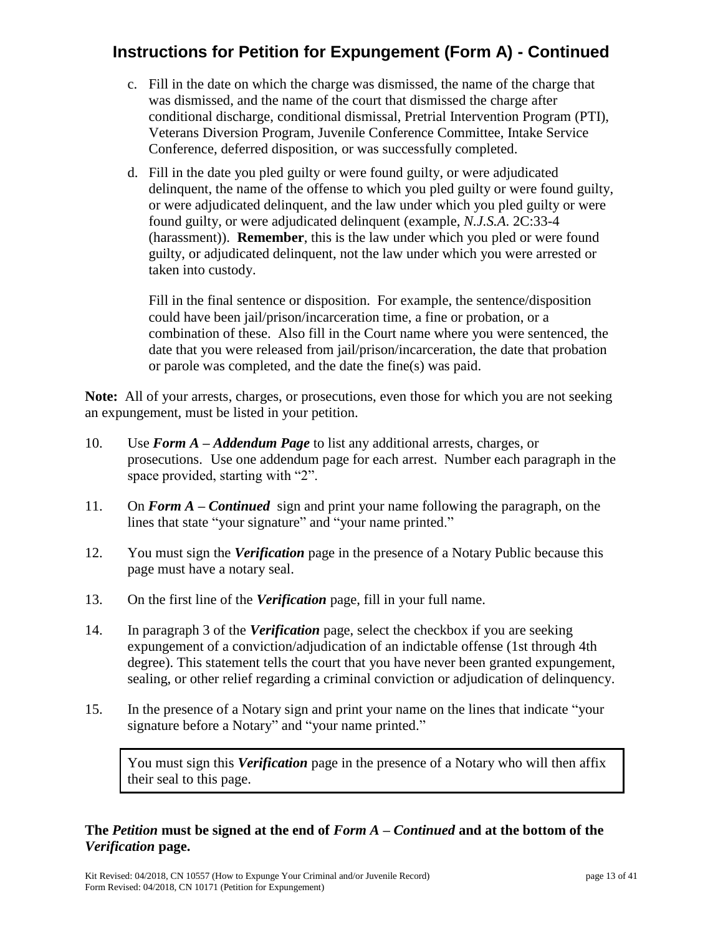# **Instructions for Petition for Expungement (Form A) - Continued**

- c. Fill in the date on which the charge was dismissed, the name of the charge that was dismissed, and the name of the court that dismissed the charge after conditional discharge, conditional dismissal, Pretrial Intervention Program (PTI), Veterans Diversion Program, Juvenile Conference Committee, Intake Service Conference, deferred disposition, or was successfully completed.
- d. Fill in the date you pled guilty or were found guilty, or were adjudicated delinquent, the name of the offense to which you pled guilty or were found guilty, or were adjudicated delinquent, and the law under which you pled guilty or were found guilty, or were adjudicated delinquent (example, *N.J.S.A*. 2C:33-4 (harassment)). **Remember**, this is the law under which you pled or were found guilty, or adjudicated delinquent, not the law under which you were arrested or taken into custody.

Fill in the final sentence or disposition. For example, the sentence/disposition could have been jail/prison/incarceration time, a fine or probation, or a combination of these. Also fill in the Court name where you were sentenced, the date that you were released from jail/prison/incarceration, the date that probation or parole was completed, and the date the fine(s) was paid.

**Note:** All of your arrests, charges, or prosecutions, even those for which you are not seeking an expungement, must be listed in your petition.

- 10. Use *Form A – Addendum Page* to list any additional arrests, charges, or prosecutions. Use one addendum page for each arrest. Number each paragraph in the space provided, starting with "2".
- 11. On *Form A – Continued* sign and print your name following the paragraph, on the lines that state "your signature" and "your name printed."
- 12. You must sign the *Verification* page in the presence of a Notary Public because this page must have a notary seal.
- 13. On the first line of the *Verification* page, fill in your full name.
- 14. In paragraph 3 of the *Verification* page, select the checkbox if you are seeking expungement of a conviction/adjudication of an indictable offense (1st through 4th degree). This statement tells the court that you have never been granted expungement, sealing, or other relief regarding a criminal conviction or adjudication of delinquency.
- 15. In the presence of a Notary sign and print your name on the lines that indicate "your signature before a Notary" and "your name printed."

You must sign this *Verification* page in the presence of a Notary who will then affix their seal to this page.

# **The** *Petition* **must be signed at the end of** *Form A – Continued* **and at the bottom of the**  *Verification* **page.**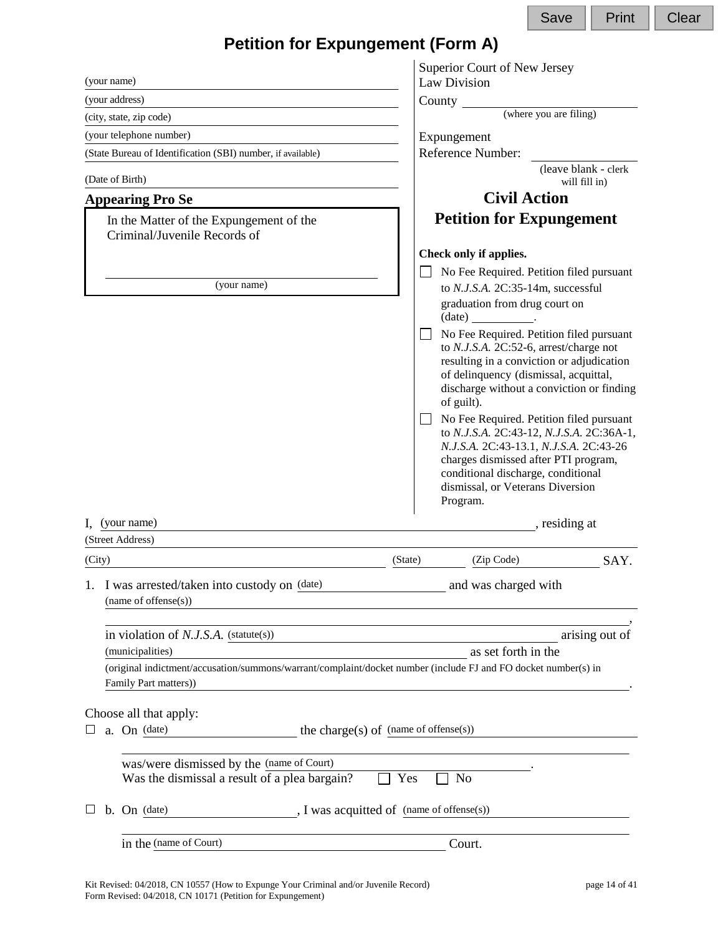|                                                                                                                                         |                                            | Save                                                                                                                                                                                                                                                                                                                                                                                                                                                                      | Print                                 | Clear |
|-----------------------------------------------------------------------------------------------------------------------------------------|--------------------------------------------|---------------------------------------------------------------------------------------------------------------------------------------------------------------------------------------------------------------------------------------------------------------------------------------------------------------------------------------------------------------------------------------------------------------------------------------------------------------------------|---------------------------------------|-------|
| <b>Petition for Expungement (Form A)</b>                                                                                                |                                            |                                                                                                                                                                                                                                                                                                                                                                                                                                                                           |                                       |       |
|                                                                                                                                         | Superior Court of New Jersey               |                                                                                                                                                                                                                                                                                                                                                                                                                                                                           |                                       |       |
| (your name)                                                                                                                             | Law Division                               |                                                                                                                                                                                                                                                                                                                                                                                                                                                                           |                                       |       |
| (your address)                                                                                                                          |                                            |                                                                                                                                                                                                                                                                                                                                                                                                                                                                           |                                       |       |
| (city, state, zip code)                                                                                                                 |                                            | (where you are filing)                                                                                                                                                                                                                                                                                                                                                                                                                                                    |                                       |       |
| (your telephone number)                                                                                                                 | Expungement                                |                                                                                                                                                                                                                                                                                                                                                                                                                                                                           |                                       |       |
| (State Bureau of Identification (SBI) number, if available)                                                                             | Reference Number:                          |                                                                                                                                                                                                                                                                                                                                                                                                                                                                           |                                       |       |
| (Date of Birth)                                                                                                                         |                                            |                                                                                                                                                                                                                                                                                                                                                                                                                                                                           | (leave blank - clerk<br>will fill in) |       |
| <b>Appearing Pro Se</b>                                                                                                                 |                                            | <b>Civil Action</b>                                                                                                                                                                                                                                                                                                                                                                                                                                                       |                                       |       |
| In the Matter of the Expungement of the<br>Criminal/Juvenile Records of                                                                 |                                            | <b>Petition for Expungement</b>                                                                                                                                                                                                                                                                                                                                                                                                                                           |                                       |       |
|                                                                                                                                         | Check only if applies.                     |                                                                                                                                                                                                                                                                                                                                                                                                                                                                           |                                       |       |
|                                                                                                                                         |                                            | No Fee Required. Petition filed pursuant                                                                                                                                                                                                                                                                                                                                                                                                                                  |                                       |       |
| (your name)                                                                                                                             |                                            | to N.J.S.A. 2C:35-14m, successful                                                                                                                                                                                                                                                                                                                                                                                                                                         |                                       |       |
|                                                                                                                                         | $(data)$ .                                 | graduation from drug court on                                                                                                                                                                                                                                                                                                                                                                                                                                             |                                       |       |
|                                                                                                                                         | of guilt).                                 | No Fee Required. Petition filed pursuant<br>to N.J.S.A. 2C:52-6, arrest/charge not<br>resulting in a conviction or adjudication<br>of delinquency (dismissal, acquittal,<br>discharge without a conviction or finding<br>No Fee Required. Petition filed pursuant<br>to N.J.S.A. 2C:43-12, N.J.S.A. 2C:36A-1,<br>N.J.S.A. 2C:43-13.1, N.J.S.A. 2C:43-26<br>charges dismissed after PTI program,<br>conditional discharge, conditional<br>dismissal, or Veterans Diversion |                                       |       |
|                                                                                                                                         | Program.                                   |                                                                                                                                                                                                                                                                                                                                                                                                                                                                           |                                       |       |
| (your name)                                                                                                                             |                                            | , residing at                                                                                                                                                                                                                                                                                                                                                                                                                                                             |                                       |       |
| (Street Address)                                                                                                                        |                                            |                                                                                                                                                                                                                                                                                                                                                                                                                                                                           |                                       |       |
| (City)                                                                                                                                  | (State)<br>(Zip Code)                      |                                                                                                                                                                                                                                                                                                                                                                                                                                                                           | SAY.                                  |       |
| I was arrested/taken into custody on (date)<br>1.<br>(name of offense(s))                                                               |                                            | and was charged with                                                                                                                                                                                                                                                                                                                                                                                                                                                      |                                       |       |
| in violation of $N.J.S.A.$ (statute(s))                                                                                                 |                                            |                                                                                                                                                                                                                                                                                                                                                                                                                                                                           | arising out of                        |       |
| (municipalities)                                                                                                                        |                                            | as set forth in the                                                                                                                                                                                                                                                                                                                                                                                                                                                       |                                       |       |
| (original indictment/accusation/summons/warrant/complaint/docket number (include FJ and FO docket number(s) in<br>Family Part matters)) |                                            |                                                                                                                                                                                                                                                                                                                                                                                                                                                                           |                                       |       |
|                                                                                                                                         |                                            |                                                                                                                                                                                                                                                                                                                                                                                                                                                                           |                                       |       |
| Choose all that apply:                                                                                                                  |                                            |                                                                                                                                                                                                                                                                                                                                                                                                                                                                           |                                       |       |
| a. On (date)<br>ப                                                                                                                       | the charge(s) of $(name of of fense(s))$   |                                                                                                                                                                                                                                                                                                                                                                                                                                                                           |                                       |       |
|                                                                                                                                         |                                            |                                                                                                                                                                                                                                                                                                                                                                                                                                                                           |                                       |       |
| was/were dismissed by the (name of Court)<br>Was the dismissal a result of a plea bargain?                                              | Yes<br>N <sub>o</sub>                      |                                                                                                                                                                                                                                                                                                                                                                                                                                                                           |                                       |       |
| b. On (date)<br>ப                                                                                                                       | ., I was acquitted of (name of offense(s)) |                                                                                                                                                                                                                                                                                                                                                                                                                                                                           |                                       |       |
| in the (name of Court)                                                                                                                  | Court.                                     |                                                                                                                                                                                                                                                                                                                                                                                                                                                                           |                                       |       |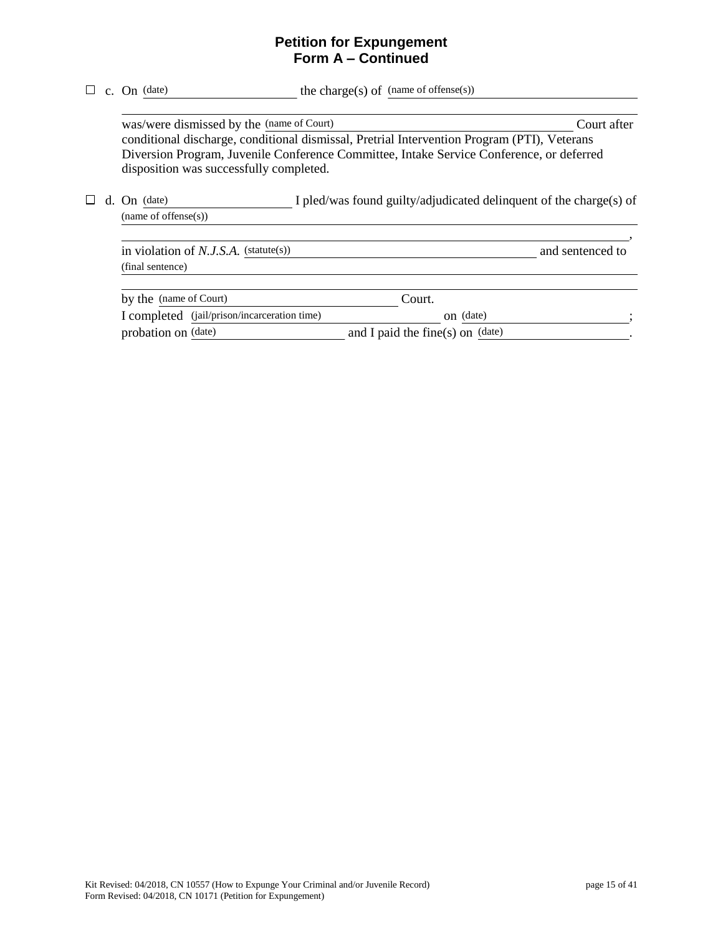## **Petition for Expungement Form A – Continued**

|    |                                     | c. On (date)                                                                                  | the charge(s) of (name of offense(s))                                                                                                                                                   |                  |
|----|-------------------------------------|-----------------------------------------------------------------------------------------------|-----------------------------------------------------------------------------------------------------------------------------------------------------------------------------------------|------------------|
|    |                                     | was/were dismissed by the (name of Court)<br>disposition was successfully completed.          | conditional discharge, conditional dismissal, Pretrial Intervention Program (PTI), Veterans<br>Diversion Program, Juvenile Conference Committee, Intake Service Conference, or deferred | Court after      |
| d. | $On$ (date)<br>(name of offense(s)) | I pled/was found guilty/adjudicated delinquent of the charge(s) of                            |                                                                                                                                                                                         |                  |
|    |                                     | in violation of $N.J.S.A.$ (statute(s))<br>(final sentence)                                   |                                                                                                                                                                                         | and sentenced to |
|    |                                     | by the (name of Court)<br>I completed (jail/prison/incarceration time)<br>probation on (date) | Court.<br>on (date)<br>and I paid the fine(s) on $(data)$                                                                                                                               |                  |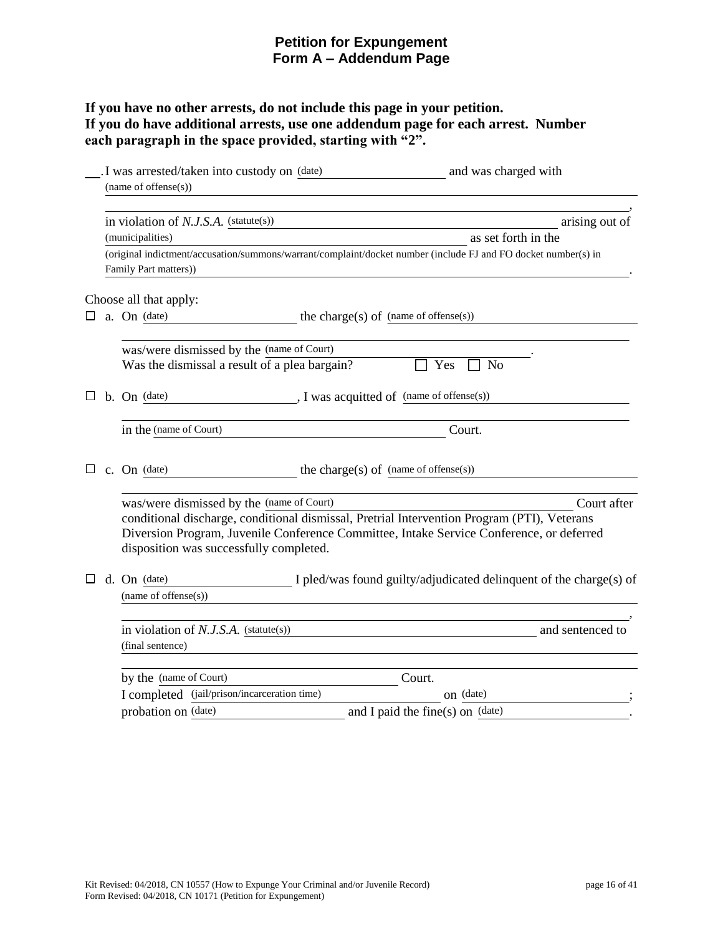# **Petition for Expungement Form A – Addendum Page**

# **If you have no other arrests, do not include this page in your petition. If you do have additional arrests, use one addendum page for each arrest. Number each paragraph in the space provided, starting with "2".**

|   | I was arrested/taken into custody on (date)   | and was charged with                                                                                           |
|---|-----------------------------------------------|----------------------------------------------------------------------------------------------------------------|
|   | (name of offense(s))                          |                                                                                                                |
|   | in violation of $N.J.S.A.$ (statute(s))       | arising out of                                                                                                 |
|   | (municipalities)                              | as set forth in the                                                                                            |
|   |                                               | (original indictment/accusation/summons/warrant/complaint/docket number (include FJ and FO docket number(s) in |
|   | Family Part matters))                         |                                                                                                                |
|   | Choose all that apply:                        |                                                                                                                |
| ப | a. On (date)                                  | the charge(s) of (name of offense(s))                                                                          |
|   | was/were dismissed by the (name of Court)     |                                                                                                                |
|   | Was the dismissal a result of a plea bargain? | Yes<br><b>No</b>                                                                                               |
|   | b. On (date)                                  | , I was acquitted of (name of offense(s))                                                                      |
|   | in the (name of Court)                        | Court.                                                                                                         |
|   | c. On (date)                                  |                                                                                                                |
|   |                                               | the charge(s) of $(name of of fense(s))$                                                                       |
|   | was/were dismissed by the (name of Court)     | Court after                                                                                                    |
|   |                                               | conditional discharge, conditional dismissal, Pretrial Intervention Program (PTI), Veterans                    |
|   | disposition was successfully completed.       | Diversion Program, Juvenile Conference Committee, Intake Service Conference, or deferred                       |
|   | d. On (date)                                  | I pled/was found guilty/adjudicated delinquent of the charge(s) of                                             |
|   | (name of offense $(s)$ )                      |                                                                                                                |
|   | in violation of $N.J.S.A.$ (statute(s))       | and sentenced to                                                                                               |
|   | (final sentence)                              |                                                                                                                |
|   | by the (name of Court)                        | Court.                                                                                                         |
|   | I completed (jail/prison/incarceration time)  | on (date)                                                                                                      |
|   | probation on (date)                           | and I paid the fine(s) on (date)                                                                               |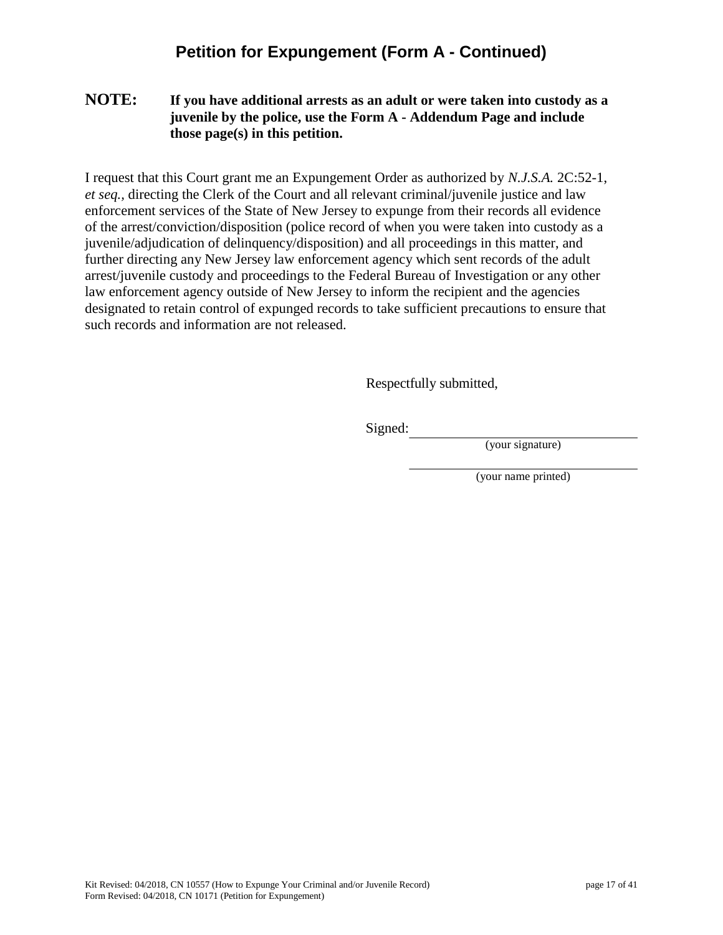# **Petition for Expungement (Form A - Continued)**

## **NOTE: If you have additional arrests as an adult or were taken into custody as a juvenile by the police, use the Form A - Addendum Page and include those page(s) in this petition.**

I request that this Court grant me an Expungement Order as authorized by *N.J.S.A.* 2C:52-1, *et seq.,* directing the Clerk of the Court and all relevant criminal/juvenile justice and law enforcement services of the State of New Jersey to expunge from their records all evidence of the arrest/conviction/disposition (police record of when you were taken into custody as a juvenile/adjudication of delinquency/disposition) and all proceedings in this matter, and further directing any New Jersey law enforcement agency which sent records of the adult arrest/juvenile custody and proceedings to the Federal Bureau of Investigation or any other law enforcement agency outside of New Jersey to inform the recipient and the agencies designated to retain control of expunged records to take sufficient precautions to ensure that such records and information are not released.

Respectfully submitted,

Signed:

(your signature)

(your name printed)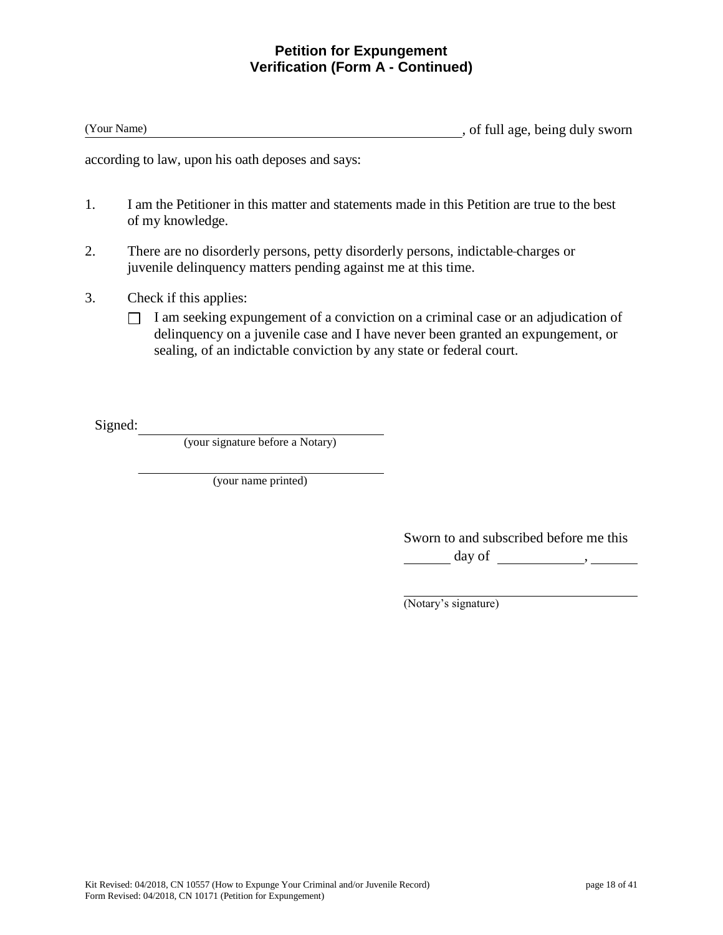## **Petition for Expungement Verification (Form A - Continued)**

(Your Name) , of full age, being duly sworn

according to law, upon his oath deposes and says:

- 1. I am the Petitioner in this matter and statements made in this Petition are true to the best of my knowledge.
- 2. There are no disorderly persons, petty disorderly persons, indictable charges or juvenile delinquency matters pending against me at this time.
- 3. Check if this applies:
	- $\Box$  I am seeking expungement of a conviction on a criminal case or an adjudication of delinquency on a juvenile case and I have never been granted an expungement, or sealing, of an indictable conviction by any state or federal court.

Signed:

(your signature before a Notary)

(your name printed)

Sworn to and subscribed before me this  $\frac{day \text{ of }$ 

(Notary's signature)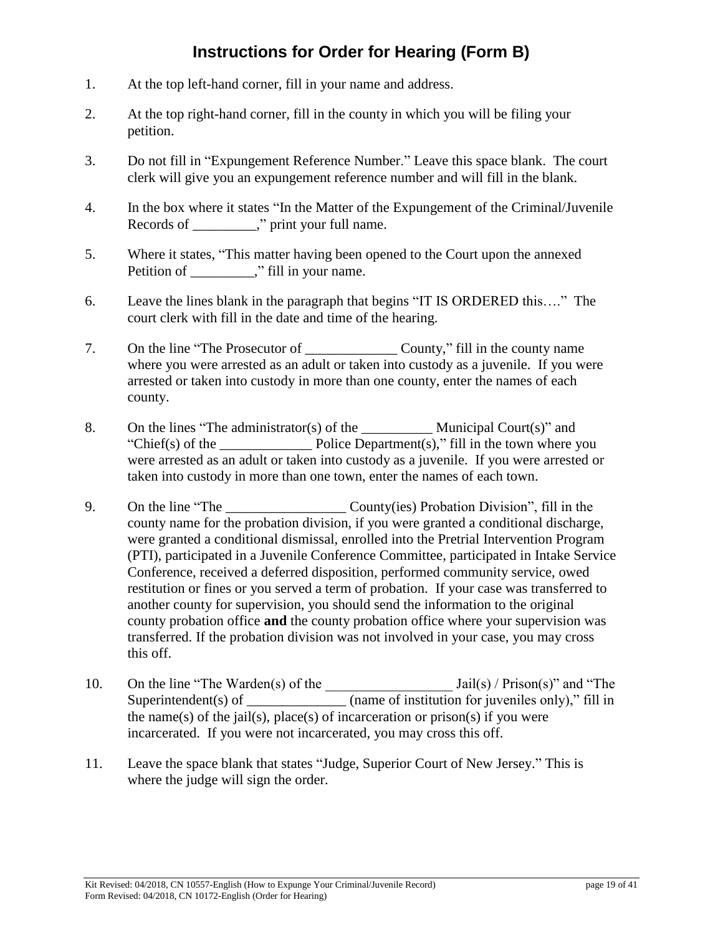# **Instructions for Order for Hearing (Form B)**

- 1. At the top left-hand corner, fill in your name and address.
- 2. At the top right-hand corner, fill in the county in which you will be filing your petition.
- 3. Do not fill in "Expungement Reference Number." Leave this space blank. The court clerk will give you an expungement reference number and will fill in the blank.
- 4. In the box where it states "In the Matter of the Expungement of the Criminal/Juvenile Records of \_\_\_\_\_\_\_\_\_," print your full name.
- 5. Where it states, "This matter having been opened to the Court upon the annexed Petition of \_\_\_\_\_\_\_\_," fill in your name.
- 6. Leave the lines blank in the paragraph that begins "IT IS ORDERED this…." The court clerk with fill in the date and time of the hearing.
- 7. On the line "The Prosecutor of County," fill in the county name where you were arrested as an adult or taken into custody as a juvenile. If you were arrested or taken into custody in more than one county, enter the names of each county.
- 8. On the lines "The administrator(s) of the \_\_\_\_\_\_\_\_\_\_ Municipal Court(s)" and "Chief(s) of the  $Police Department(s)$ ," fill in the town where you were arrested as an adult or taken into custody as a juvenile. If you were arrested or taken into custody in more than one town, enter the names of each town.
- 9. On the line "The County(ies) Probation Division", fill in the county name for the probation division, if you were granted a conditional discharge, were granted a conditional dismissal, enrolled into the Pretrial Intervention Program (PTI), participated in a Juvenile Conference Committee, participated in Intake Service Conference, received a deferred disposition, performed community service, owed restitution or fines or you served a term of probation. If your case was transferred to another county for supervision, you should send the information to the original county probation office **and** the county probation office where your supervision was transferred. If the probation division was not involved in your case, you may cross this off.
- 10. On the line "The Warden(s) of the \_\_\_\_\_\_\_\_\_\_\_\_\_\_\_\_\_\_ Jail(s) / Prison(s)" and "The Superintendent(s) of  $\frac{1}{\sqrt{2}}$  (name of institution for juveniles only)," fill in the name(s) of the jail(s), place(s) of incarceration or prison(s) if you were incarcerated. If you were not incarcerated, you may cross this off.
- 11. Leave the space blank that states "Judge, Superior Court of New Jersey." This is where the judge will sign the order.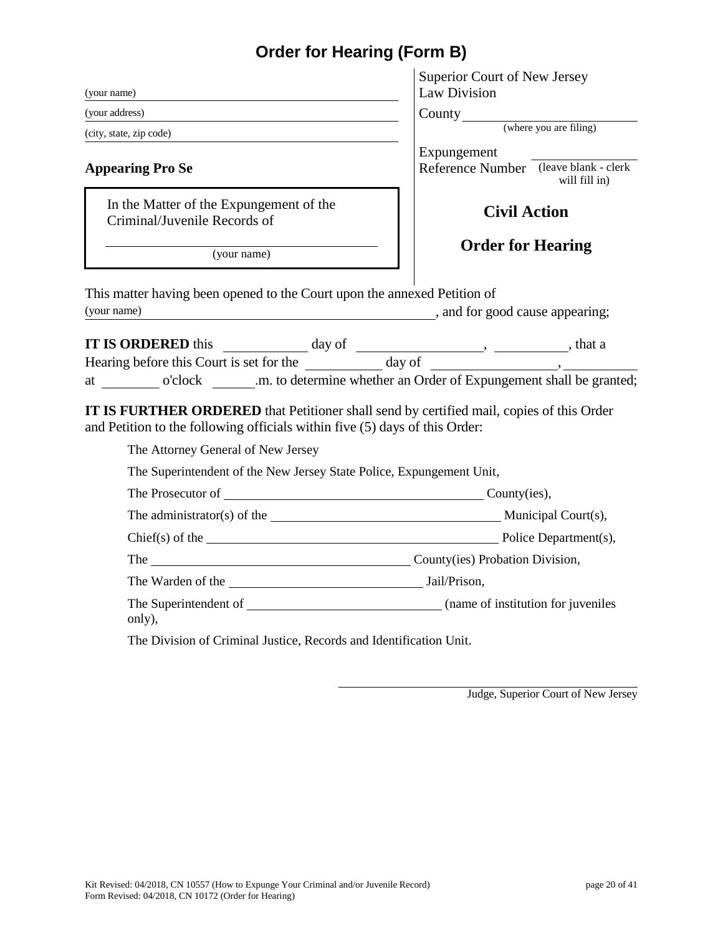# **Order for Hearing (Form B)**

|                                                                                                                                                                                                                                | Superior Court of New Jersey                                          |  |
|--------------------------------------------------------------------------------------------------------------------------------------------------------------------------------------------------------------------------------|-----------------------------------------------------------------------|--|
| (your name)                                                                                                                                                                                                                    | Law Division                                                          |  |
| (your address)                                                                                                                                                                                                                 | County<br>(where you are filing)                                      |  |
| (city, state, zip code)                                                                                                                                                                                                        |                                                                       |  |
| <b>Appearing Pro Se</b>                                                                                                                                                                                                        | Expungement<br>Reference Number (leave blank - clerk<br>will fill in) |  |
| In the Matter of the Expungement of the<br>Criminal/Juvenile Records of                                                                                                                                                        | <b>Civil Action</b>                                                   |  |
| (your name)                                                                                                                                                                                                                    | <b>Order for Hearing</b>                                              |  |
| This matter having been opened to the Court upon the annexed Petition of<br>(your name)<br>and for good cause appearing;                                                                                                       |                                                                       |  |
|                                                                                                                                                                                                                                |                                                                       |  |
|                                                                                                                                                                                                                                |                                                                       |  |
| at o'clock .m. to determine whether an Order of Expungement shall be granted;                                                                                                                                                  |                                                                       |  |
| IT IS FURTHER ORDERED that Petitioner shall send by certified mail, copies of this Order<br>and Petition to the following officials within five (5) days of this Order:                                                        |                                                                       |  |
| The Attorney General of New Jersey                                                                                                                                                                                             |                                                                       |  |
| The Superintendent of the New Jersey State Police, Expungement Unit,                                                                                                                                                           |                                                                       |  |
| The Prosecutor of County (ies),                                                                                                                                                                                                |                                                                       |  |
|                                                                                                                                                                                                                                |                                                                       |  |
|                                                                                                                                                                                                                                |                                                                       |  |
| The County (ies) Probation Division,                                                                                                                                                                                           |                                                                       |  |
| The Warden of the University of the University of the University of the University of the University of the University of the University of the University of the University of the University of the University of the Univer |                                                                       |  |
| only),                                                                                                                                                                                                                         |                                                                       |  |
| The Division of Criminal Justice, Records and Identification Unit.                                                                                                                                                             |                                                                       |  |

Judge, Superior Court of New Jersey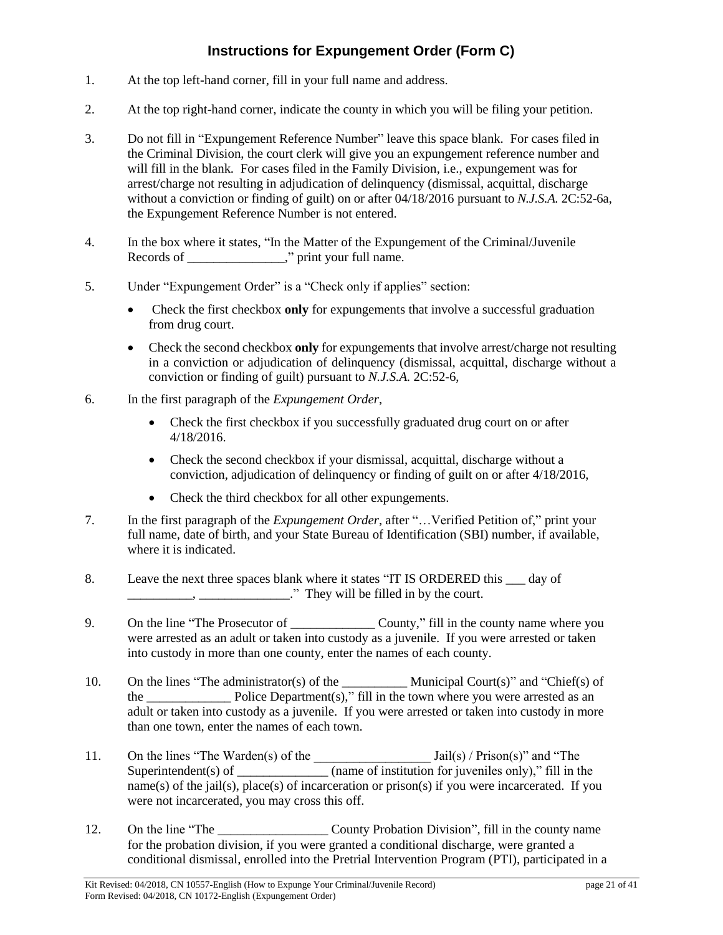# **Instructions for Expungement Order (Form C)**

- 1. At the top left-hand corner, fill in your full name and address.
- 2. At the top right-hand corner, indicate the county in which you will be filing your petition.
- 3. Do not fill in "Expungement Reference Number" leave this space blank. For cases filed in the Criminal Division, the court clerk will give you an expungement reference number and will fill in the blank. For cases filed in the Family Division, i.e., expungement was for arrest/charge not resulting in adjudication of delinquency (dismissal, acquittal, discharge without a conviction or finding of guilt) on or after 04/18/2016 pursuant to *N.J.S.A.* 2C:52-6a, the Expungement Reference Number is not entered.
- 4. In the box where it states, "In the Matter of the Expungement of the Criminal/Juvenile Records of \_\_\_\_\_\_\_\_\_\_\_\_\_\_\_," print your full name.
- 5. Under "Expungement Order" is a "Check only if applies" section:
	- Check the first checkbox **only** for expungements that involve a successful graduation from drug court.
	- Check the second checkbox **only** for expungements that involve arrest/charge not resulting in a conviction or adjudication of delinquency (dismissal, acquittal, discharge without a conviction or finding of guilt) pursuant to *N.J.S.A.* 2C:52-6,
- 6. In the first paragraph of the *Expungement Order*,
	- Check the first checkbox if you successfully graduated drug court on or after 4/18/2016.
	- Check the second checkbox if your dismissal, acquittal, discharge without a conviction, adjudication of delinquency or finding of guilt on or after 4/18/2016,
	- Check the third checkbox for all other expungements.
- 7. In the first paragraph of the *Expungement Order*, after "…Verified Petition of," print your full name, date of birth, and your State Bureau of Identification (SBI) number, if available, where it is indicated.
- 8. Leave the next three spaces blank where it states "IT IS ORDERED this  $\_\_\_$  day of \_\_\_\_\_\_\_\_\_\_, \_\_\_\_\_\_\_\_\_\_\_\_\_\_." They will be filled in by the court.
- 9. On the line "The Prosecutor of \_\_\_\_\_\_\_\_\_\_\_\_\_ County," fill in the county name where you were arrested as an adult or taken into custody as a juvenile. If you were arrested or taken into custody in more than one county, enter the names of each county.
- 10. On the lines "The administrator(s) of the Municipal Court(s)" and "Chief(s) of the Police Department(s)," fill in the town where you were arrested as an adult or taken into custody as a juvenile. If you were arrested or taken into custody in more than one town, enter the names of each town.
- 11. On the lines "The Warden(s) of the  $Jail(s) / Prison(s)$ " and "The Superintendent(s) of  $\frac{1}{\sqrt{2}}$  (name of institution for juveniles only)," fill in the name(s) of the jail(s), place(s) of incarceration or prison(s) if you were incarcerated. If you were not incarcerated, you may cross this off.
- 12. On the line "The \_\_\_\_\_\_\_\_\_\_\_\_\_\_\_\_\_ County Probation Division", fill in the county name for the probation division, if you were granted a conditional discharge, were granted a conditional dismissal, enrolled into the Pretrial Intervention Program (PTI), participated in a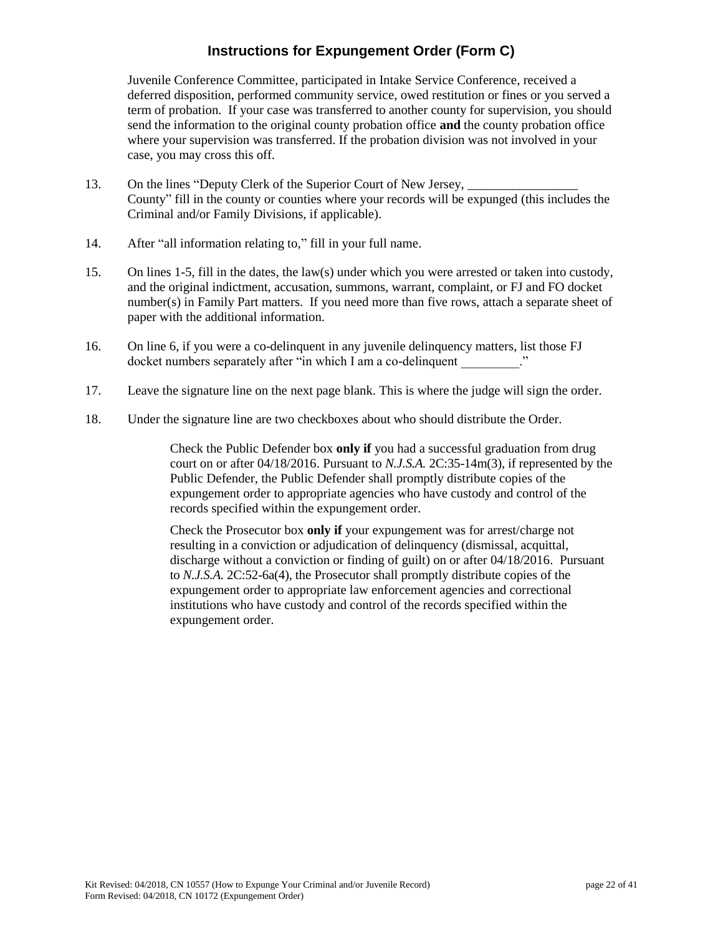# **Instructions for Expungement Order (Form C)**

Juvenile Conference Committee, participated in Intake Service Conference, received a deferred disposition, performed community service, owed restitution or fines or you served a term of probation. If your case was transferred to another county for supervision, you should send the information to the original county probation office **and** the county probation office where your supervision was transferred. If the probation division was not involved in your case, you may cross this off.

- 13. On the lines "Deputy Clerk of the Superior Court of New Jersey, County" fill in the county or counties where your records will be expunged (this includes the Criminal and/or Family Divisions, if applicable).
- 14. After "all information relating to," fill in your full name.
- 15. On lines 1-5, fill in the dates, the law(s) under which you were arrested or taken into custody, and the original indictment, accusation, summons, warrant, complaint, or FJ and FO docket number(s) in Family Part matters. If you need more than five rows, attach a separate sheet of paper with the additional information.
- 16. On line 6, if you were a co-delinquent in any juvenile delinquency matters, list those FJ docket numbers separately after "in which I am a co-delinquent
- 17. Leave the signature line on the next page blank. This is where the judge will sign the order.
- 18. Under the signature line are two checkboxes about who should distribute the Order.

Check the Public Defender box **only if** you had a successful graduation from drug court on or after 04/18/2016. Pursuant to *N.J.S.A.* 2C:35-14m(3), if represented by the Public Defender, the Public Defender shall promptly distribute copies of the expungement order to appropriate agencies who have custody and control of the records specified within the expungement order.

Check the Prosecutor box **only if** your expungement was for arrest/charge not resulting in a conviction or adjudication of delinquency (dismissal, acquittal, discharge without a conviction or finding of guilt) on or after 04/18/2016. Pursuant to *N.J.S.A.* 2C:52-6a(4), the Prosecutor shall promptly distribute copies of the expungement order to appropriate law enforcement agencies and correctional institutions who have custody and control of the records specified within the expungement order.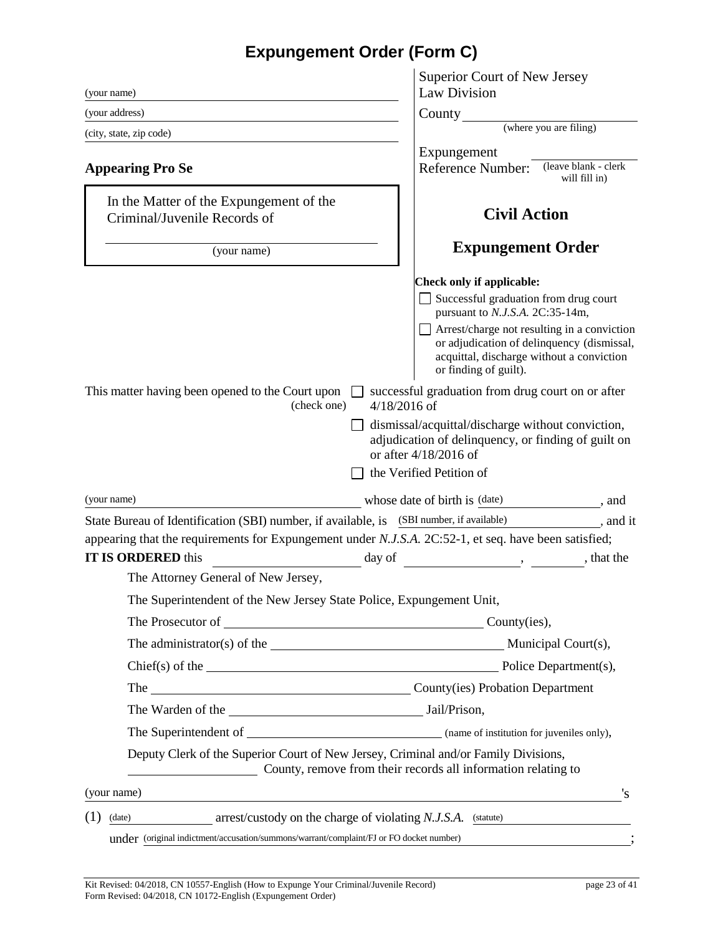# **Expungement Order (Form C)**

| (your name)                                                                                                                                                           | Superior Court of New Jersey<br>Law Division                                                                                                                    |
|-----------------------------------------------------------------------------------------------------------------------------------------------------------------------|-----------------------------------------------------------------------------------------------------------------------------------------------------------------|
| (your address)                                                                                                                                                        | County                                                                                                                                                          |
| (city, state, zip code)                                                                                                                                               | (where you are filing)                                                                                                                                          |
|                                                                                                                                                                       | Expungement                                                                                                                                                     |
| <b>Appearing Pro Se</b>                                                                                                                                               | (leave blank - clerk<br>Reference Number:<br>will fill in)                                                                                                      |
| In the Matter of the Expungement of the<br>Criminal/Juvenile Records of                                                                                               | <b>Civil Action</b>                                                                                                                                             |
| (your name)                                                                                                                                                           | <b>Expungement Order</b>                                                                                                                                        |
|                                                                                                                                                                       | <b>Check only if applicable:</b>                                                                                                                                |
|                                                                                                                                                                       | Successful graduation from drug court<br>pursuant to N.J.S.A. 2C:35-14m,                                                                                        |
|                                                                                                                                                                       | Arrest/charge not resulting in a conviction<br>or adjudication of delinquency (dismissal,<br>acquittal, discharge without a conviction<br>or finding of guilt). |
| This matter having been opened to the Court upon<br>$4/18/2016$ of<br>(check one)                                                                                     | successful graduation from drug court on or after                                                                                                               |
|                                                                                                                                                                       | dismissal/acquittal/discharge without conviction,<br>adjudication of delinquency, or finding of guilt on<br>or after 4/18/2016 of                               |
|                                                                                                                                                                       | the Verified Petition of                                                                                                                                        |
| (your name)                                                                                                                                                           | whose date of birth is (date)<br>$\alpha$ , and                                                                                                                 |
| State Bureau of Identification (SBI) number, if available, is (SBI number, if available)                                                                              | $\frac{1}{\sqrt{1-\frac{1}{2}}}\,$ , and it                                                                                                                     |
| appearing that the requirements for Expungement under N.J.S.A. 2C:52-1, et seq. have been satisfied;                                                                  |                                                                                                                                                                 |
| <b>IT IS ORDERED</b> this<br>day of                                                                                                                                   | , that the                                                                                                                                                      |
| The Attorney General of New Jersey,                                                                                                                                   |                                                                                                                                                                 |
| The Superintendent of the New Jersey State Police, Expungement Unit,                                                                                                  |                                                                                                                                                                 |
| The Prosecutor of County (ies),                                                                                                                                       |                                                                                                                                                                 |
| The administrator(s) of the Municipal Court(s),                                                                                                                       |                                                                                                                                                                 |
|                                                                                                                                                                       |                                                                                                                                                                 |
| The County(ies) Probation Department                                                                                                                                  |                                                                                                                                                                 |
|                                                                                                                                                                       |                                                                                                                                                                 |
|                                                                                                                                                                       |                                                                                                                                                                 |
| Deputy Clerk of the Superior Court of New Jersey, Criminal and/or Family Divisions,<br>County, remove from their records all information relating to                  |                                                                                                                                                                 |
| (your name)                                                                                                                                                           | 's                                                                                                                                                              |
| and the control of the control of the control of the control of the control of the control of the control of the<br>(1)                                               |                                                                                                                                                                 |
| $arrest/custody$ on the charge of violating $N.J.S.A.$ (statute)<br>(date)<br>under (original indictment/accusation/summons/warrant/complaint/FJ or FO docket number) |                                                                                                                                                                 |
|                                                                                                                                                                       |                                                                                                                                                                 |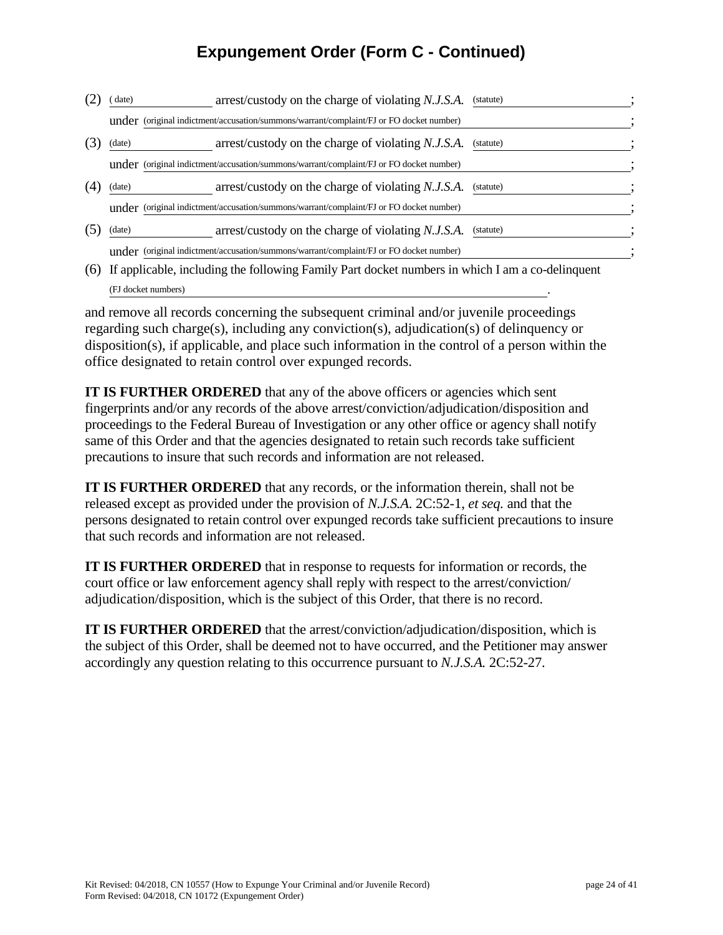# **Expungement Order (Form C - Continued)**

| date)  | arrest/custody on the charge of violating N.J.S.A.                                      | (statute) |
|--------|-----------------------------------------------------------------------------------------|-----------|
|        | under (original indictment/accusation/summons/warrant/complaint/FJ or FO docket number) |           |
| (date) | arrest/custody on the charge of violating N.J.S.A.                                      | (statute) |
|        | under (original indictment/accusation/summons/warrant/complaint/FJ or FO docket number) |           |
| (date) | arrest/custody on the charge of violating N.J.S.A.                                      | (statute) |
|        | under (original indictment/accusation/summons/warrant/complaint/FJ or FO docket number) |           |
| (date) | arrest/custody on the charge of violating N.J.S.A.                                      | (statute) |
|        | under (original indictment/accusation/summons/warrant/complaint/FJ or FO docket number) |           |

(6) If applicable, including the following Family Part docket numbers in which I am a co-delinquent (FJ docket numbers)

and remove all records concerning the subsequent criminal and/or juvenile proceedings regarding such charge(s), including any conviction(s), adjudication(s) of delinquency or disposition(s), if applicable, and place such information in the control of a person within the office designated to retain control over expunged records.

**IT IS FURTHER ORDERED** that any of the above officers or agencies which sent fingerprints and/or any records of the above arrest/conviction/adjudication/disposition and proceedings to the Federal Bureau of Investigation or any other office or agency shall notify same of this Order and that the agencies designated to retain such records take sufficient precautions to insure that such records and information are not released.

**IT IS FURTHER ORDERED** that any records, or the information therein, shall not be released except as provided under the provision of *N.J.S.A.* 2C:52-1, *et seq.* and that the persons designated to retain control over expunged records take sufficient precautions to insure that such records and information are not released.

**IT IS FURTHER ORDERED** that in response to requests for information or records, the court office or law enforcement agency shall reply with respect to the arrest/conviction/ adjudication/disposition, which is the subject of this Order, that there is no record.

**IT IS FURTHER ORDERED** that the arrest/conviction/adjudication/disposition, which is the subject of this Order, shall be deemed not to have occurred, and the Petitioner may answer accordingly any question relating to this occurrence pursuant to *N.J.S.A.* 2C:52-27.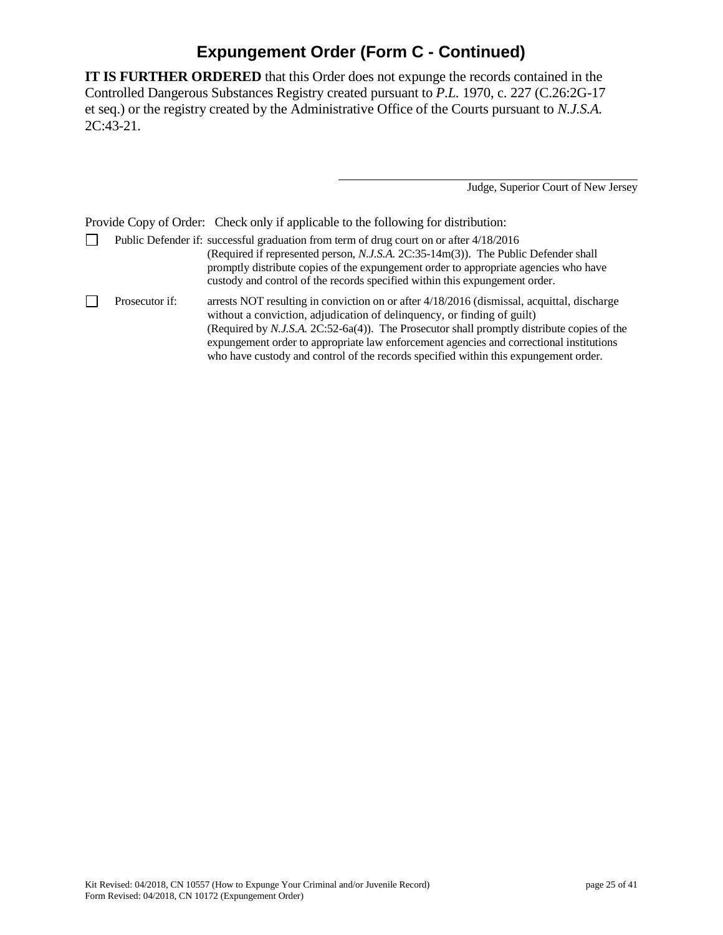# **Expungement Order (Form C - Continued)**

**IT IS FURTHER ORDERED** that this Order does not expunge the records contained in the Controlled Dangerous Substances Registry created pursuant to *P.L.* 1970, c. 227 (C.26:2G-17 et seq.) or the registry created by the Administrative Office of the Courts pursuant to *N.J.S.A.* 2C:43-21.

Judge, Superior Court of New Jersey

Provide Copy of Order: Check only if applicable to the following for distribution:

 $\Box$ Public Defender if: successful graduation from term of drug court on or after 4/18/2016 (Required if represented person, *N.J.S.A.* 2C:35-14m(3)). The Public Defender shall promptly distribute copies of the expungement order to appropriate agencies who have custody and control of the records specified within this expungement order.  $\Box$ Prosecutor if: arrests NOT resulting in conviction on or after 4/18/2016 (dismissal, acquittal, discharge without a conviction, adjudication of delinquency, or finding of guilt) (Required by *N.J.S.A.* 2C:52-6a(4)). The Prosecutor shall promptly distribute copies of the expungement order to appropriate law enforcement agencies and correctional institutions

who have custody and control of the records specified within this expungement order.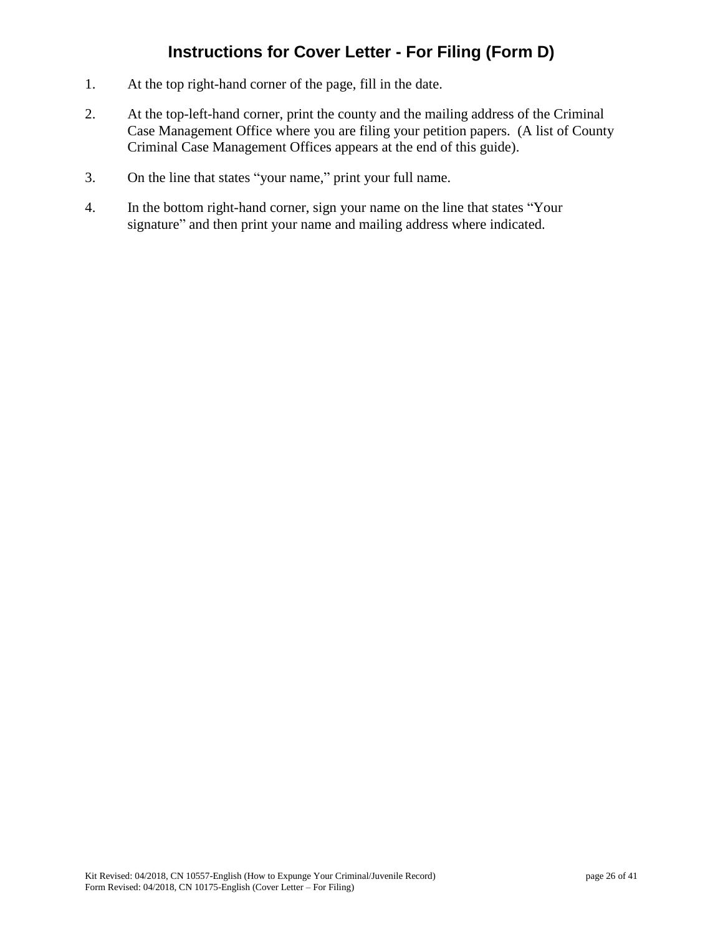# **Instructions for Cover Letter - For Filing (Form D)**

- 1. At the top right-hand corner of the page, fill in the date.
- 2. At the top-left-hand corner, print the county and the mailing address of the Criminal Case Management Office where you are filing your petition papers. (A list of County Criminal Case Management Offices appears at the end of this guide).
- 3. On the line that states "your name," print your full name.
- 4. In the bottom right-hand corner, sign your name on the line that states "Your signature" and then print your name and mailing address where indicated.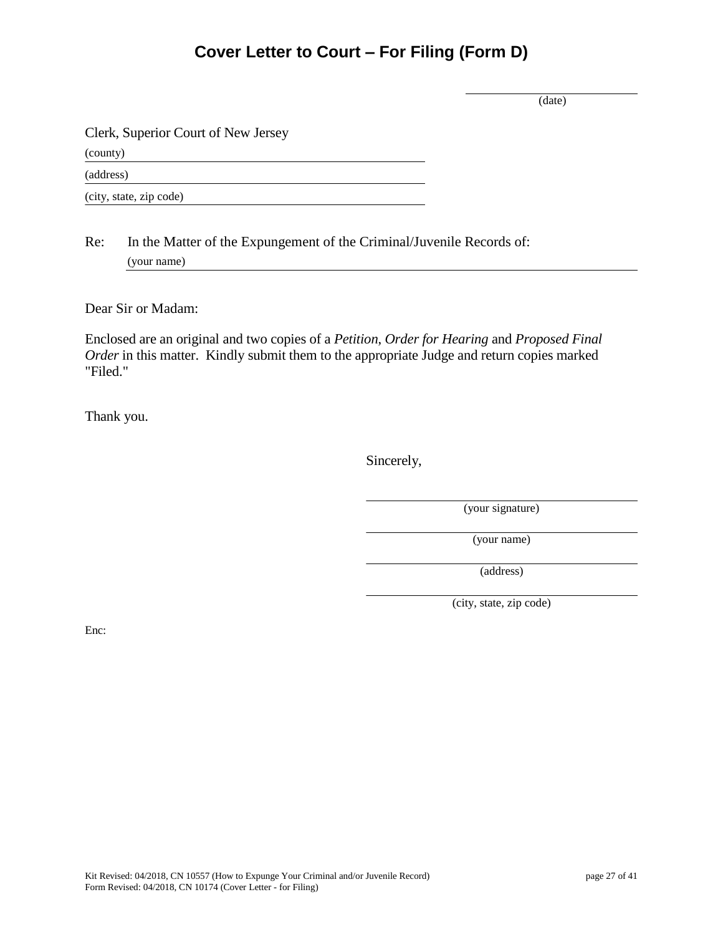# **Cover Letter to Court – For Filing (Form D)**

(date)

Clerk, Superior Court of New Jersey

(county)

(address)

(city, state, zip code)

Re: In the Matter of the Expungement of the Criminal/Juvenile Records of: (your name)

Dear Sir or Madam:

Enclosed are an original and two copies of a *Petition*, *Order for Hearing* and *Proposed Final Order* in this matter. Kindly submit them to the appropriate Judge and return copies marked "Filed."

Thank you.

Sincerely,

(your signature)

(your name)

(address)

(city, state, zip code)

Enc: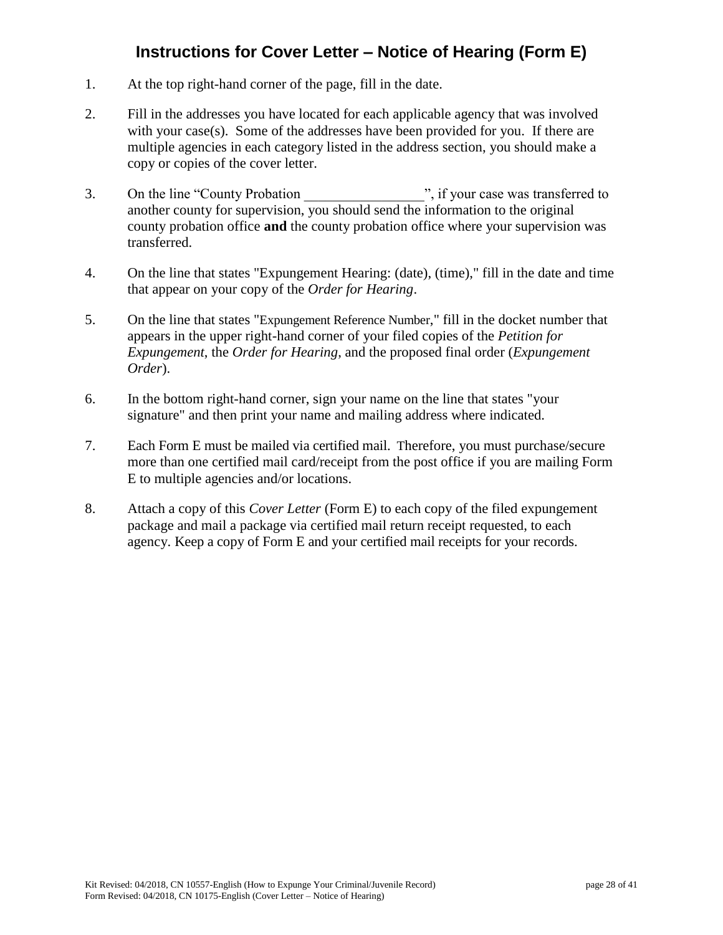# **Instructions for Cover Letter – Notice of Hearing (Form E)**

- 1. At the top right-hand corner of the page, fill in the date.
- 2. Fill in the addresses you have located for each applicable agency that was involved with your case(s). Some of the addresses have been provided for you. If there are multiple agencies in each category listed in the address section, you should make a copy or copies of the cover letter.
- 3. On the line "County Probation", if your case was transferred to another county for supervision, you should send the information to the original county probation office **and** the county probation office where your supervision was transferred.
- 4. On the line that states "Expungement Hearing: (date), (time)," fill in the date and time that appear on your copy of the *Order for Hearing*.
- 5. On the line that states "Expungement Reference Number," fill in the docket number that appears in the upper right-hand corner of your filed copies of the *Petition for Expungement*, the *Order for Hearing*, and the proposed final order (*Expungement Order*).
- 6. In the bottom right-hand corner, sign your name on the line that states "your signature" and then print your name and mailing address where indicated.
- 7. Each Form E must be mailed via certified mail. Therefore, you must purchase/secure more than one certified mail card/receipt from the post office if you are mailing Form E to multiple agencies and/or locations.
- 8. Attach a copy of this *Cover Letter* (Form E) to each copy of the filed expungement package and mail a package via certified mail return receipt requested, to each agency. Keep a copy of Form E and your certified mail receipts for your records.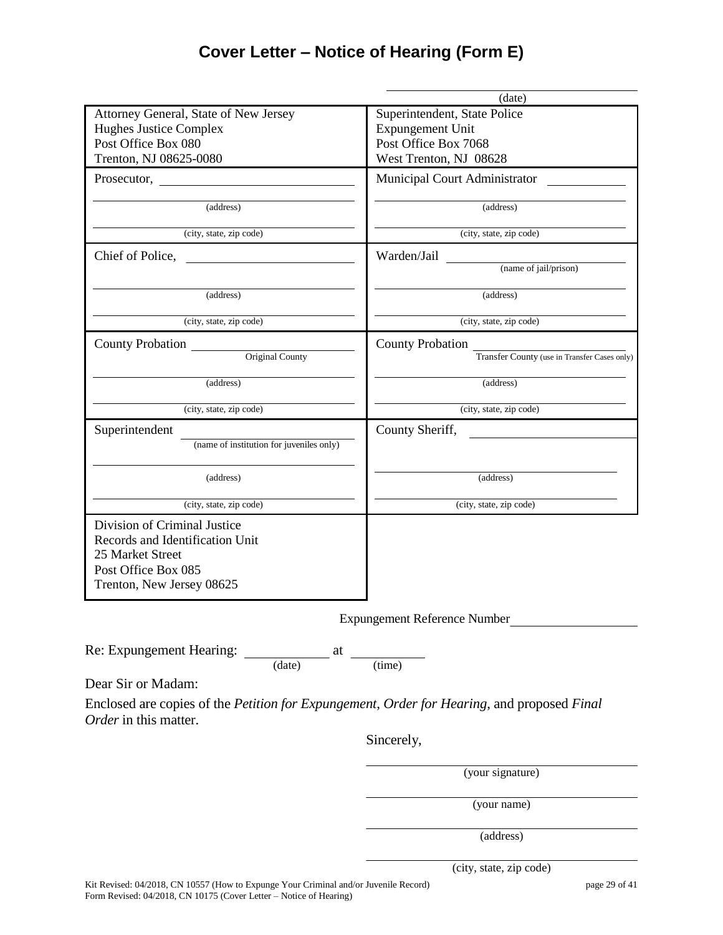# **Cover Letter – Notice of Hearing (Form E)**

|                                                                                                                                         | (date)                                       |
|-----------------------------------------------------------------------------------------------------------------------------------------|----------------------------------------------|
| Attorney General, State of New Jersey                                                                                                   | Superintendent, State Police                 |
| Hughes Justice Complex                                                                                                                  | <b>Expungement Unit</b>                      |
| Post Office Box 080                                                                                                                     | Post Office Box 7068                         |
| Trenton, NJ 08625-0080                                                                                                                  | West Trenton, NJ 08628                       |
| Prosecutor,                                                                                                                             | Municipal Court Administrator                |
| (address)                                                                                                                               | (address)                                    |
| (city, state, zip code)                                                                                                                 | (city, state, zip code)                      |
| Chief of Police,                                                                                                                        | Warden/Jail                                  |
|                                                                                                                                         | (name of jail/prison)                        |
| (address)                                                                                                                               | (address)                                    |
| (city, state, zip code)                                                                                                                 | (city, state, zip code)                      |
| <b>County Probation</b>                                                                                                                 | <b>County Probation</b>                      |
| Original County                                                                                                                         | Transfer County (use in Transfer Cases only) |
| (address)                                                                                                                               | (address)                                    |
| (city, state, zip code)                                                                                                                 | (city, state, zip code)                      |
| Superintendent                                                                                                                          | County Sheriff,                              |
| (name of institution for juveniles only)                                                                                                |                                              |
| (address)                                                                                                                               | (address)                                    |
| (city, state, zip code)                                                                                                                 | (city, state, zip code)                      |
| Division of Criminal Justice<br>Records and Identification Unit<br>25 Market Street<br>Post Office Box 085<br>Trenton, New Jersey 08625 |                                              |
|                                                                                                                                         | <b>Expungement Reference Number</b>          |
| Re: Expungement Hearing: $\frac{at}{(date)}$ at $\frac{at}{(time)}$                                                                     |                                              |
| Dear Sir or Madam:                                                                                                                      |                                              |
| Enclosed are copies of the Petition for Expungement, Order for Hearing, and proposed Final<br>Order in this matter.                     |                                              |
|                                                                                                                                         | Sincerely,                                   |
|                                                                                                                                         | (your signature)                             |
|                                                                                                                                         | (your name)                                  |

(address)

(city, state, zip code)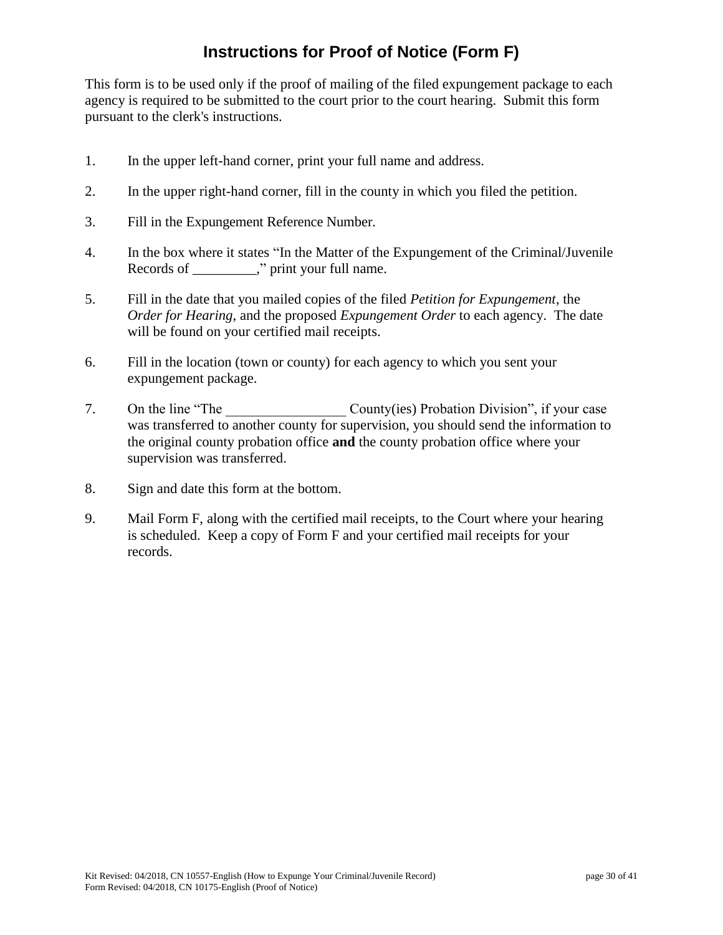# **Instructions for Proof of Notice (Form F)**

This form is to be used only if the proof of mailing of the filed expungement package to each agency is required to be submitted to the court prior to the court hearing. Submit this form pursuant to the clerk's instructions.

- 1. In the upper left-hand corner, print your full name and address.
- 2. In the upper right-hand corner, fill in the county in which you filed the petition.
- 3. Fill in the Expungement Reference Number.
- 4. In the box where it states "In the Matter of the Expungement of the Criminal/Juvenile Records of \_\_\_\_\_\_\_\_\_," print your full name.
- 5. Fill in the date that you mailed copies of the filed *Petition for Expungement*, the *Order for Hearing*, and the proposed *Expungement Order* to each agency. The date will be found on your certified mail receipts.
- 6. Fill in the location (town or county) for each agency to which you sent your expungement package.
- 7. On the line "The County(ies) Probation Division", if your case was transferred to another county for supervision, you should send the information to the original county probation office **and** the county probation office where your supervision was transferred.
- 8. Sign and date this form at the bottom.
- 9. Mail Form F, along with the certified mail receipts, to the Court where your hearing is scheduled. Keep a copy of Form F and your certified mail receipts for your records.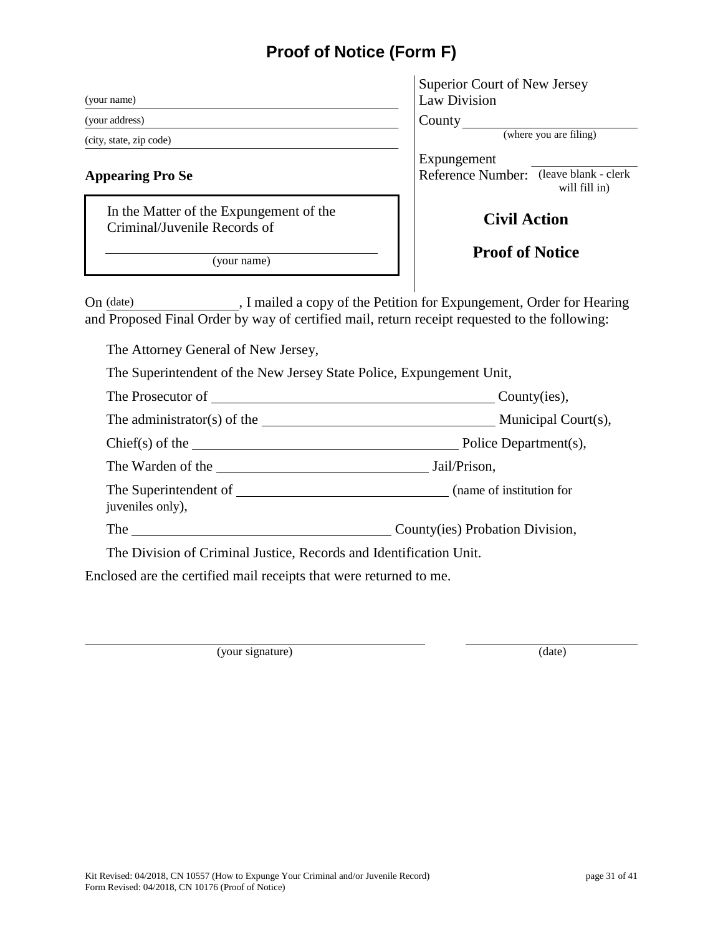# **Proof of Notice (Form F)**

| (your name)                                                             | Superio<br>Law Di |  |
|-------------------------------------------------------------------------|-------------------|--|
| (your address)                                                          |                   |  |
| (city, state, zip code)                                                 |                   |  |
| <b>Appearing Pro Se</b>                                                 | Expung<br>Referen |  |
| In the Matter of the Expungement of the<br>Criminal/Juvenile Records of |                   |  |
| (your name)                                                             |                   |  |

| <b>Superior Court of New Jersey</b> |  |
|-------------------------------------|--|
| Law Division                        |  |

ounty

(where you are filing)

Expungement eference Number: (leave blank - clerk will fill in)

# **Civil Action**

# **Proof of Notice**

On (date) , I mailed a copy of the Petition for Expungement, Order for Hearing and Proposed Final Order by way of certified mail, return receipt requested to the following:

The Attorney General of New Jersey,

The Superintendent of the New Jersey State Police, Expungement Unit,

| The Prosecutor of Changes and Changes and Changes and Changes and Changes and Changes and Changes and Changes and Changes and Changes and Changes and Changes and Changes and Changes and Changes and Changes and Changes and | County(ies),                    |
|-------------------------------------------------------------------------------------------------------------------------------------------------------------------------------------------------------------------------------|---------------------------------|
|                                                                                                                                                                                                                               |                                 |
| $Chief(s)$ of the $\qquad \qquad$                                                                                                                                                                                             | Police Department(s),           |
| The Warden of the                                                                                                                                                                                                             | Jail/Prison,                    |
| The Superintendent of<br>juveniles only),                                                                                                                                                                                     | (name of institution for        |
| The                                                                                                                                                                                                                           | County(ies) Probation Division, |

The Division of Criminal Justice, Records and Identification Unit.

Enclosed are the certified mail receipts that were returned to me.

(your signature) (date)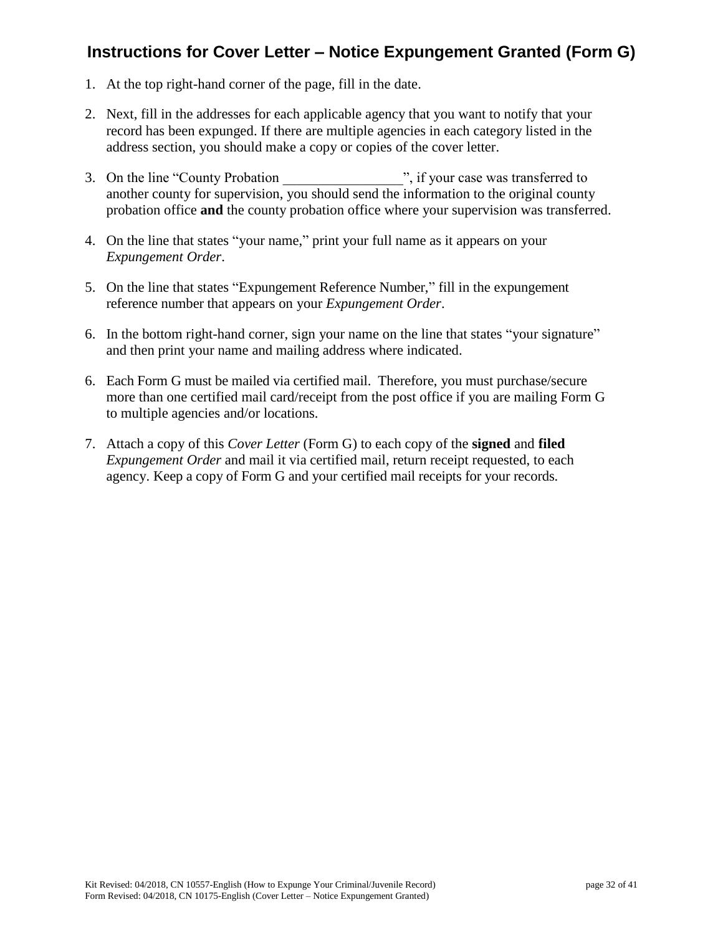# **Instructions for Cover Letter – Notice Expungement Granted (Form G)**

- 1. At the top right-hand corner of the page, fill in the date.
- 2. Next, fill in the addresses for each applicable agency that you want to notify that your record has been expunged. If there are multiple agencies in each category listed in the address section, you should make a copy or copies of the cover letter.
- 3. On the line "County Probation", if your case was transferred to another county for supervision, you should send the information to the original county probation office **and** the county probation office where your supervision was transferred.
- 4. On the line that states "your name," print your full name as it appears on your *Expungement Order*.
- 5. On the line that states "Expungement Reference Number," fill in the expungement reference number that appears on your *Expungement Order*.
- 6. In the bottom right-hand corner, sign your name on the line that states "your signature" and then print your name and mailing address where indicated.
- 6. Each Form G must be mailed via certified mail. Therefore, you must purchase/secure more than one certified mail card/receipt from the post office if you are mailing Form G to multiple agencies and/or locations.
- 7. Attach a copy of this *Cover Letter* (Form G) to each copy of the **signed** and **filed** *Expungement Order* and mail it via certified mail, return receipt requested, to each agency. Keep a copy of Form G and your certified mail receipts for your records.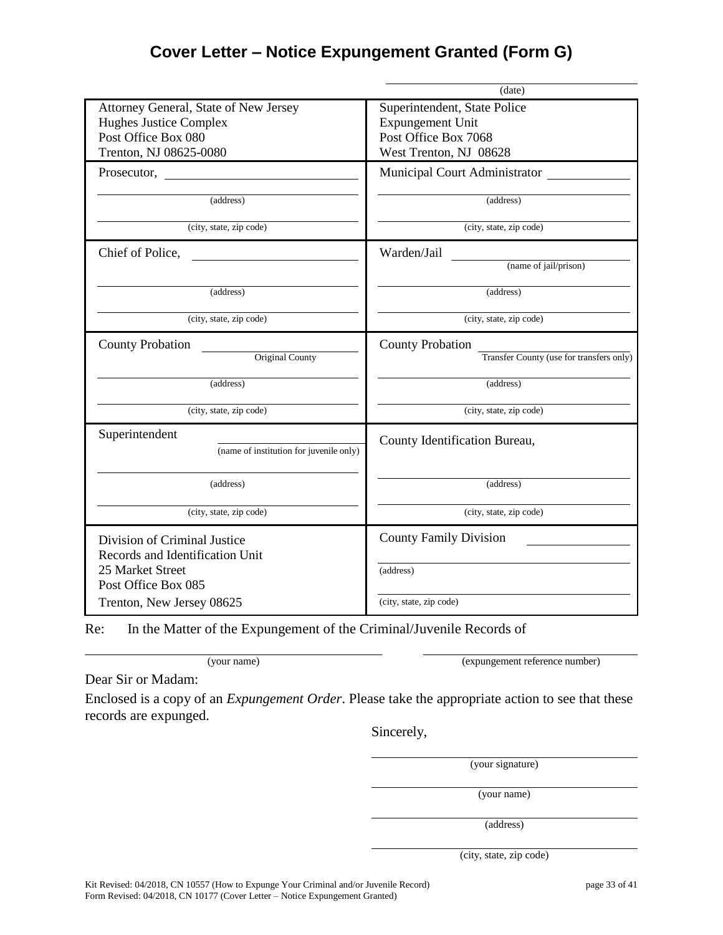# **Cover Letter – Notice Expungement Granted (Form G)**

|                                                                                                                                         | (date)                                                                |
|-----------------------------------------------------------------------------------------------------------------------------------------|-----------------------------------------------------------------------|
| Attorney General, State of New Jersey                                                                                                   | Superintendent, State Police                                          |
| <b>Hughes Justice Complex</b>                                                                                                           | <b>Expungement Unit</b>                                               |
| Post Office Box 080                                                                                                                     | Post Office Box 7068                                                  |
| Trenton, NJ 08625-0080                                                                                                                  | West Trenton, NJ 08628                                                |
|                                                                                                                                         | <b>Municipal Court Administrator</b>                                  |
| (address)                                                                                                                               | (address)                                                             |
| (city, state, zip code)                                                                                                                 | (city, state, zip code)                                               |
| Chief of Police,                                                                                                                        | Warden/Jail                                                           |
|                                                                                                                                         | (name of jail/prison)                                                 |
| (address)                                                                                                                               | (address)                                                             |
| (city, state, zip code)                                                                                                                 | (city, state, zip code)                                               |
| <b>County Probation</b>                                                                                                                 | <b>County Probation</b>                                               |
| Original County                                                                                                                         | Transfer County (use for transfers only)                              |
| (address)                                                                                                                               | (address)                                                             |
| (city, state, zip code)                                                                                                                 | (city, state, zip code)                                               |
| Superintendent<br>(name of institution for juvenile only)                                                                               | County Identification Bureau,                                         |
| (address)                                                                                                                               | (address)                                                             |
| (city, state, zip code)                                                                                                                 | (city, state, zip code)                                               |
| Division of Criminal Justice<br>Records and Identification Unit<br>25 Market Street<br>Post Office Box 085<br>Trenton, New Jersey 08625 | <b>County Family Division</b><br>(address)<br>(city, state, zip code) |
|                                                                                                                                         |                                                                       |

Re: In the Matter of the Expungement of the Criminal/Juvenile Records of

(your name) (expungement reference number)

Dear Sir or Madam:

Enclosed is a copy of an *Expungement Order*. Please take the appropriate action to see that these records are expunged.

Sincerely,

(your signature)

(your name)

(address)

(city, state, zip code)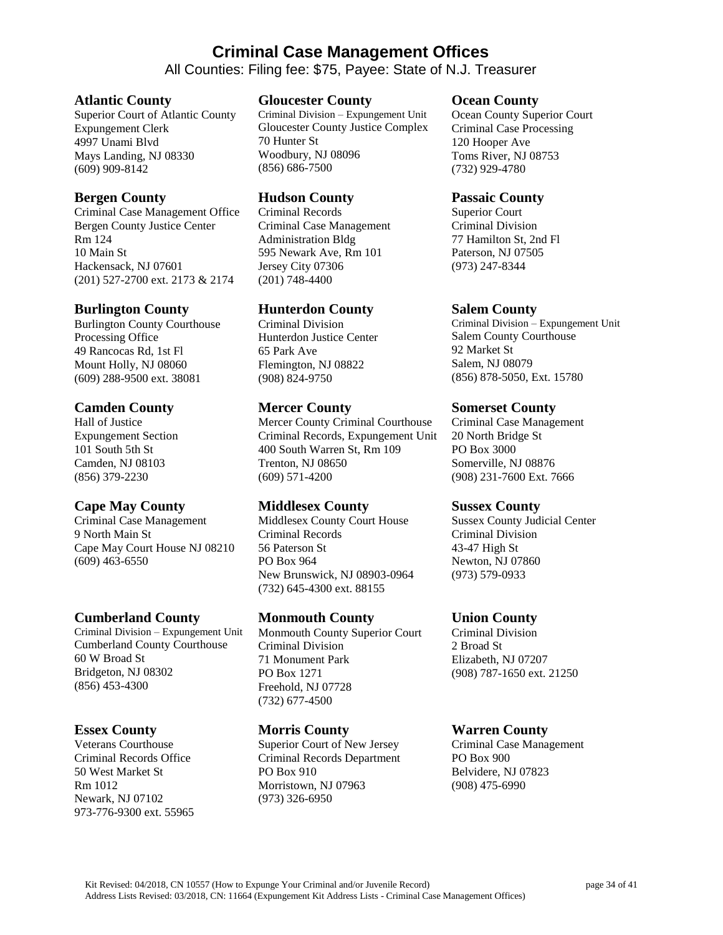# **Criminal Case Management Offices**

All Counties: Filing fee: \$75, Payee: State of N.J. Treasurer

#### **Atlantic County**

Superior Court of Atlantic County Expungement Clerk 4997 Unami Blvd Mays Landing, NJ 08330 (609) 909-8142

#### **Bergen County**

Criminal Case Management Office Bergen County Justice Center Rm 124 10 Main St Hackensack, NJ 07601 (201) 527-2700 ext. 2173 & 2174

#### **Burlington County**

Burlington County Courthouse Processing Office 49 Rancocas Rd, 1st Fl Mount Holly, NJ 08060 (609) 288-9500 ext. 38081

#### **Camden County**

Hall of Justice Expungement Section 101 South 5th St Camden, NJ 08103 (856) 379-2230

## **Cape May County**

Criminal Case Management 9 North Main St Cape May Court House NJ 08210 (609) 463-6550

#### **Cumberland County**

Criminal Division – Expungement Unit Cumberland County Courthouse 60 W Broad St Bridgeton, NJ 08302 (856) 453-4300

## **Essex County**

Veterans Courthouse Criminal Records Office 50 West Market St Rm 1012 Newark, NJ 07102 973-776-9300 ext. 55965

#### **Gloucester County**

Criminal Division – Expungement Unit Gloucester County Justice Complex 70 Hunter St Woodbury, NJ 08096 (856) 686-7500

#### **Hudson County**

Criminal Records Criminal Case Management Administration Bldg 595 Newark Ave, Rm 101 Jersey City 07306 (201) 748-4400

## **Hunterdon County**

Criminal Division Hunterdon Justice Center 65 Park Ave Flemington, NJ 08822 (908) 824-9750

#### **Mercer County**

Mercer County Criminal Courthouse Criminal Records, Expungement Unit 400 South Warren St, Rm 109 Trenton, NJ 08650 (609) 571-4200

## **Middlesex County**

Middlesex County Court House Criminal Records 56 Paterson St PO Box 964 New Brunswick, NJ 08903-0964 (732) 645-4300 ext. 88155

## **Monmouth County**

Monmouth County Superior Court Criminal Division 71 Monument Park PO Box 1271 Freehold, NJ 07728 (732) 677-4500

#### **Morris County**

Superior Court of New Jersey Criminal Records Department PO Box 910 Morristown, NJ 07963 (973) 326-6950

#### **Ocean County**

Ocean County Superior Court Criminal Case Processing 120 Hooper Ave Toms River, NJ 08753 (732) 929-4780

#### **Passaic County**

Superior Court Criminal Division 77 Hamilton St, 2nd Fl Paterson, NJ 07505 (973) 247-8344

#### **Salem County**

Criminal Division – Expungement Unit Salem County Courthouse 92 Market St Salem, NJ 08079 (856) 878-5050, Ext. 15780

#### **Somerset County**

Criminal Case Management 20 North Bridge St PO Box 3000 Somerville, NJ 08876 (908) 231-7600 Ext. 7666

#### **Sussex County**

Sussex County Judicial Center Criminal Division 43-47 High St Newton, NJ 07860 (973) 579-0933

## **Union County**

Criminal Division 2 Broad St Elizabeth, NJ 07207 (908) 787-1650 ext. 21250

## **Warren County**

Criminal Case Management PO Box 900 Belvidere, NJ 07823 (908) 475-6990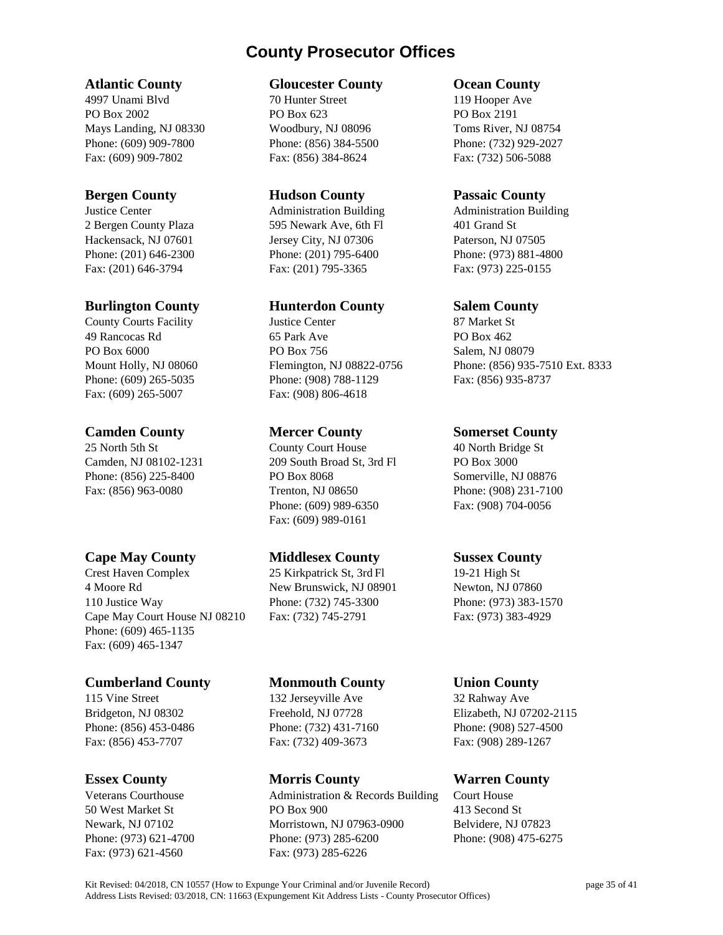# **County Prosecutor Offices**

## **Atlantic County**

4997 Unami Blvd PO Box 2002 Mays Landing, NJ 08330 Phone: (609) 909-7800 Fax: (609) 909-7802

## **Bergen County**

Justice Center 2 Bergen County Plaza Hackensack, NJ 07601 Phone: (201) 646-2300 Fax: (201) 646-3794

## **Burlington County**

County Courts Facility 49 Rancocas Rd PO Box 6000 Mount Holly, NJ 08060 Phone: (609) 265-5035 Fax: (609) 265-5007

## **Camden County**

25 North 5th St Camden, NJ 08102-1231 Phone: (856) 225-8400 Fax: (856) 963-0080

# **Cape May County**

Crest Haven Complex 4 Moore Rd 110 Justice Way Cape May Court House NJ 08210 Phone: (609) 465-1135 Fax: (609) 465-1347

# **Cumberland County**

115 Vine Street Bridgeton, NJ 08302 Phone: (856) 453-0486 Fax: (856) 453-7707

## **Essex County**

Veterans Courthouse 50 West Market St Newark, NJ 07102 Phone: (973) 621-4700 Fax: (973) 621-4560

## **Gloucester County**

70 Hunter Street PO Box 623 Woodbury, NJ 08096 Phone: (856) 384-5500 Fax: (856) 384-8624

#### **Hudson County**

Administration Building 595 Newark Ave, 6th Fl Jersey City, NJ 07306 Phone: (201) 795-6400 Fax: (201) 795-3365

# **Hunterdon County**

Justice Center 65 Park Ave PO Box 756 Flemington, NJ 08822-0756 Phone: (908) 788-1129 Fax: (908) 806-4618

## **Mercer County**

County Court House 209 South Broad St, 3rd Fl PO Box 8068 Trenton, NJ 08650 Phone: (609) 989-6350 Fax: (609) 989-0161

# **Middlesex County**

25 Kirkpatrick St, 3rd Fl New Brunswick, NJ 08901 Phone: (732) 745-3300 Fax: (732) 745-2791

# **Monmouth County**

132 Jerseyville Ave Freehold, NJ 07728 Phone: (732) 431-7160 Fax: (732) 409-3673

# **Morris County**

Administration & Records Building PO Box 900 Morristown, NJ 07963-0900 Phone: (973) 285-6200 Fax: (973) 285-6226

## **Ocean County**

119 Hooper Ave PO Box 2191 Toms River, NJ 08754 Phone: (732) 929-2027 Fax: (732) 506-5088

## **Passaic County**

Administration Building 401 Grand St Paterson, NJ 07505 Phone: (973) 881-4800 Fax: (973) 225-0155

## **Salem County**

87 Market St PO Box 462 Salem, NJ 08079 Phone: (856) 935-7510 Ext. 8333 Fax: (856) 935-8737

## **Somerset County**

40 North Bridge St PO Box 3000 Somerville, NJ 08876 Phone: (908) 231-7100 Fax: (908) 704-0056

# **Sussex County**

19-21 High St Newton, NJ 07860 Phone: (973) 383-1570 Fax: (973) 383-4929

## **Union County**

32 Rahway Ave Elizabeth, NJ 07202-2115 Phone: (908) 527-4500 Fax: (908) 289-1267

# **Warren County**

Court House 413 Second St Belvidere, NJ 07823 Phone: (908) 475-6275

Kit Revised: 04/2018, CN 10557 (How to Expunge Your Criminal and/or Juvenile Record) page 35 of 41 Address Lists Revised: 03/2018, CN: 11663 (Expungement Kit Address Lists - County Prosecutor Offices)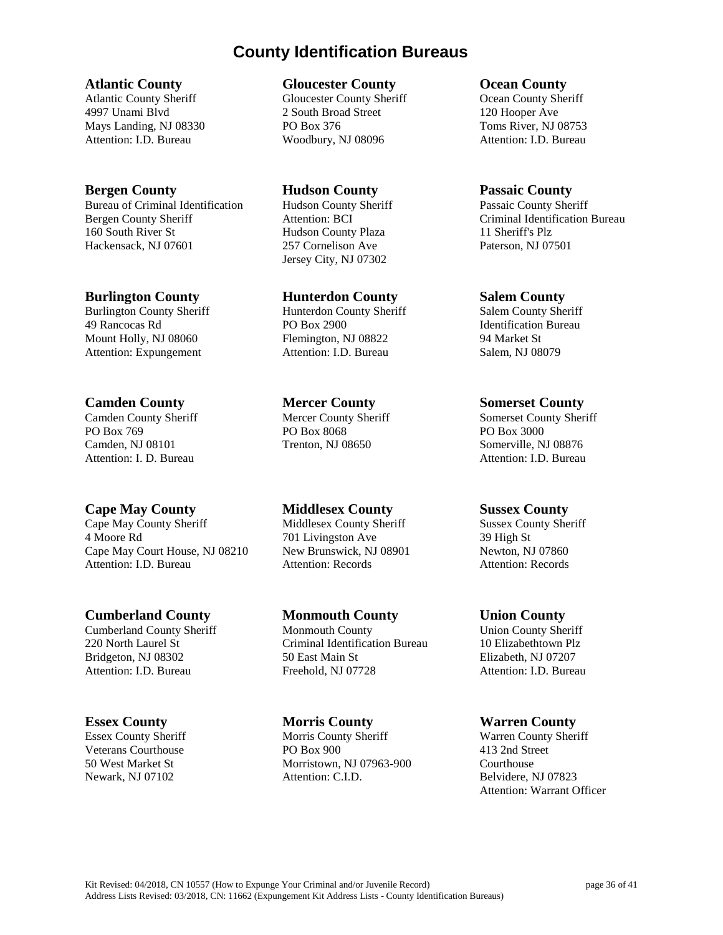# **County Identification Bureaus**

#### **Atlantic County**

Atlantic County Sheriff 4997 Unami Blvd Mays Landing, NJ 08330 Attention: I.D. Bureau

## **Bergen County**

Bureau of Criminal Identification Bergen County Sheriff 160 South River St Hackensack, NJ 07601

## **Burlington County**

Burlington County Sheriff 49 Rancocas Rd Mount Holly, NJ 08060 Attention: Expungement

# **Camden County**

Camden County Sheriff PO Box 769 Camden, NJ 08101 Attention: I. D. Bureau

# **Cape May County**

Cape May County Sheriff 4 Moore Rd Cape May Court House, NJ 08210 Attention: I.D. Bureau

# **Cumberland County**

Cumberland County Sheriff 220 North Laurel St Bridgeton, NJ 08302 Attention: I.D. Bureau

# **Essex County**

Essex County Sheriff Veterans Courthouse 50 West Market St Newark, NJ 07102

#### **Gloucester County**

Gloucester County Sheriff 2 South Broad Street PO Box 376 Woodbury, NJ 08096

**Hudson County** Hudson County Sheriff Attention: BCI Hudson County Plaza 257 Cornelison Ave Jersey City, NJ 07302

#### **Hunterdon County**

Hunterdon County Sheriff PO Box 2900 Flemington, NJ 08822 Attention: I.D. Bureau

## **Mercer County**

Mercer County Sheriff PO Box 8068 Trenton, NJ 08650

# **Middlesex County**

Middlesex County Sheriff 701 Livingston Ave New Brunswick, NJ 08901 Attention: Records

# **Monmouth County**

Monmouth County Criminal Identification Bureau 50 East Main St Freehold, NJ 07728

## **Morris County**

Morris County Sheriff PO Box 900 Morristown, NJ 07963-900 Attention: C.I.D.

#### **Ocean County**

Ocean County Sheriff 120 Hooper Ave Toms River, NJ 08753 Attention: I.D. Bureau

## **Passaic County**

Passaic County Sheriff Criminal Identification Bureau 11 Sheriff's Plz Paterson, NJ 07501

#### **Salem County**

Salem County Sheriff Identification Bureau 94 Market St Salem, NJ 08079

## **Somerset County**

Somerset County Sheriff PO Box 3000 Somerville, NJ 08876 Attention: I.D. Bureau

## **Sussex County**

Sussex County Sheriff 39 High St Newton, NJ 07860 Attention: Records

## **Union County**

Union County Sheriff 10 Elizabethtown Plz Elizabeth, NJ 07207 Attention: I.D. Bureau

## **Warren County**

Warren County Sheriff 413 2nd Street Courthouse Belvidere, NJ 07823 Attention: Warrant Officer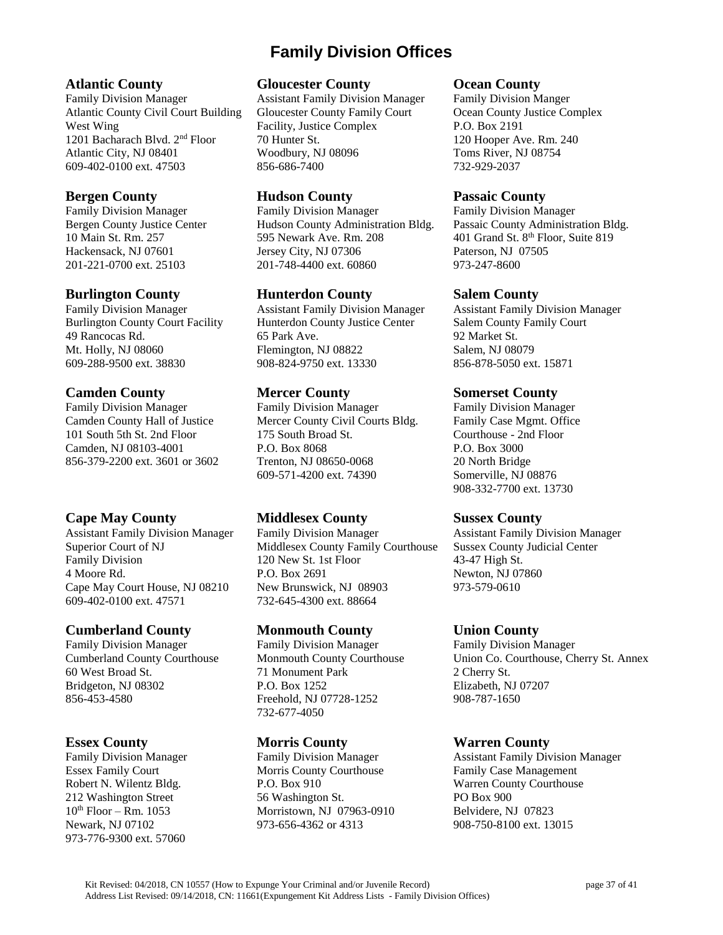# **Family Division Offices**

## **Atlantic County**

Family Division Manager Atlantic County Civil Court Building West Wing 1201 Bacharach Blvd. 2nd Floor Atlantic City, NJ 08401 609-402-0100 ext. 47503

#### **Bergen County**

Family Division Manager Bergen County Justice Center 10 Main St. Rm. 257 Hackensack, NJ 07601 201-221-0700 ext. 25103

#### **Burlington County**

Family Division Manager Burlington County Court Facility 49 Rancocas Rd. Mt. Holly, NJ 08060 609-288-9500 ext. 38830

#### **Camden County**

Family Division Manager Camden County Hall of Justice 101 South 5th St. 2nd Floor Camden, NJ 08103-4001 856-379-2200 ext. 3601 or 3602

## **Cape May County**

Assistant Family Division Manager Superior Court of NJ Family Division 4 Moore Rd. Cape May Court House, NJ 08210 609-402-0100 ext. 47571

## **Cumberland County**

Family Division Manager Cumberland County Courthouse 60 West Broad St. Bridgeton, NJ 08302 856-453-4580

#### **Essex County**

Family Division Manager Essex Family Court Robert N. Wilentz Bldg. 212 Washington Street  $10^{th}$  Floor – Rm.  $1053$ Newark, NJ 07102 973-776-9300 ext. 57060

#### **Gloucester County**

Assistant Family Division Manager Gloucester County Family Court Facility, Justice Complex 70 Hunter St. Woodbury, NJ 08096 856-686-7400

#### **Hudson County**

Family Division Manager Hudson County Administration Bldg. 595 Newark Ave. Rm. 208 Jersey City, NJ 07306 201-748-4400 ext. 60860

#### **Hunterdon County**

Assistant Family Division Manager Hunterdon County Justice Center 65 Park Ave. Flemington, NJ 08822 908-824-9750 ext. 13330

#### **Mercer County**

Family Division Manager Mercer County Civil Courts Bldg. 175 South Broad St. P.O. Box 8068 Trenton, NJ 08650-0068 609-571-4200 ext. 74390

## **Middlesex County**

Family Division Manager Middlesex County Family Courthouse 120 New St. 1st Floor P.O. Box 2691 New Brunswick, NJ 08903 732-645-4300 ext. 88664

## **Monmouth County**

Family Division Manager Monmouth County Courthouse 71 Monument Park P.O. Box 1252 Freehold, NJ 07728-1252 732-677-4050

## **Morris County**

Family Division Manager Morris County Courthouse P.O. Box 910 56 Washington St. Morristown, NJ 07963-0910 973-656-4362 or 4313

#### **Ocean County**

Family Division Manger Ocean County Justice Complex P.O. Box 2191 120 Hooper Ave. Rm. 240 Toms River, NJ 08754 732-929-2037

#### **Passaic County**

Family Division Manager Passaic County Administration Bldg. 401 Grand St. 8<sup>th</sup> Floor, Suite 819 Paterson, NJ 07505 973-247-8600

#### **Salem County**

Assistant Family Division Manager Salem County Family Court 92 Market St. Salem, NJ 08079 856-878-5050 ext. 15871

#### **Somerset County**

Family Division Manager Family Case Mgmt. Office Courthouse - 2nd Floor P.O. Box 3000 20 North Bridge Somerville, NJ 08876 908-332-7700 ext. 13730

## **Sussex County**

Assistant Family Division Manager Sussex County Judicial Center 43-47 High St. Newton, NJ 07860 973-579-0610

## **Union County**

Family Division Manager Union Co. Courthouse, Cherry St. Annex 2 Cherry St. Elizabeth, NJ 07207 908-787-1650

## **Warren County**

Assistant Family Division Manager Family Case Management Warren County Courthouse PO Box 900 Belvidere, NJ 07823 908-750-8100 ext. 13015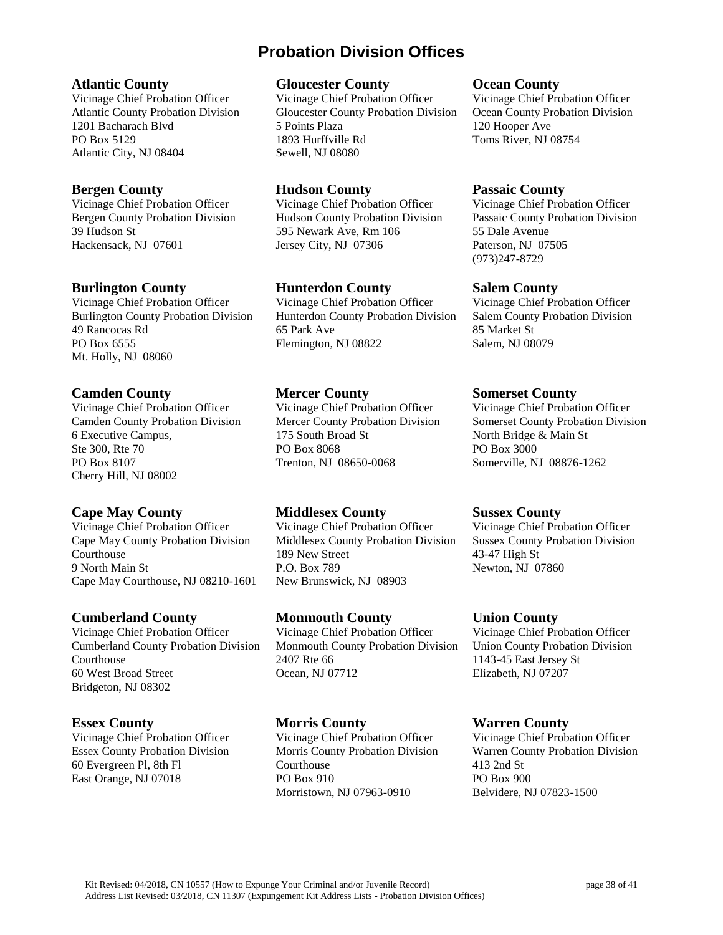# **Probation Division Offices**

#### **Atlantic County**

Vicinage Chief Probation Officer Atlantic County Probation Division 1201 Bacharach Blvd PO Box 5129 Atlantic City, NJ 08404

## **Bergen County**

Vicinage Chief Probation Officer Bergen County Probation Division 39 Hudson St Hackensack, NJ 07601

## **Burlington County**

Vicinage Chief Probation Officer Burlington County Probation Division 49 Rancocas Rd PO Box 6555 Mt. Holly, NJ 08060

## **Camden County**

Vicinage Chief Probation Officer Camden County Probation Division 6 Executive Campus, Ste 300, Rte 70 PO Box 8107 Cherry Hill, NJ 08002

# **Cape May County**

Vicinage Chief Probation Officer Cape May County Probation Division Courthouse 9 North Main St Cape May Courthouse, NJ 08210-1601

# **Cumberland County**

Vicinage Chief Probation Officer Cumberland County Probation Division **Courthouse** 60 West Broad Street Bridgeton, NJ 08302

# **Essex County**

Vicinage Chief Probation Officer Essex County Probation Division 60 Evergreen Pl, 8th Fl East Orange, NJ 07018

#### **Gloucester County**

Vicinage Chief Probation Officer Gloucester County Probation Division 5 Points Plaza 1893 Hurffville Rd Sewell, NJ 08080

## **Hudson County**

Vicinage Chief Probation Officer Hudson County Probation Division 595 Newark Ave, Rm 106 Jersey City, NJ 07306

# **Hunterdon County**

Vicinage Chief Probation Officer Hunterdon County Probation Division 65 Park Ave Flemington, NJ 08822

## **Mercer County**

Vicinage Chief Probation Officer Mercer County Probation Division 175 South Broad St PO Box 8068 Trenton, NJ 08650-0068

# **Middlesex County**

Vicinage Chief Probation Officer Middlesex County Probation Division 189 New Street P.O. Box 789 New Brunswick, NJ 08903

# **Monmouth County**

Vicinage Chief Probation Officer Monmouth County Probation Division 2407 Rte 66 Ocean, NJ 07712

# **Morris County**

Vicinage Chief Probation Officer Morris County Probation Division Courthouse PO Box 910 Morristown, NJ 07963-0910

#### **Ocean County**

Vicinage Chief Probation Officer Ocean County Probation Division 120 Hooper Ave Toms River, NJ 08754

## **Passaic County**

Vicinage Chief Probation Officer Passaic County Probation Division 55 Dale Avenue Paterson, NJ 07505 (973)247-8729

## **Salem County**

Vicinage Chief Probation Officer Salem County Probation Division 85 Market St Salem, NJ 08079

## **Somerset County**

Vicinage Chief Probation Officer Somerset County Probation Division North Bridge & Main St PO Box 3000 Somerville, NJ 08876-1262

## **Sussex County**

Vicinage Chief Probation Officer Sussex County Probation Division 43-47 High St Newton, NJ 07860

# **Union County**

Vicinage Chief Probation Officer Union County Probation Division 1143-45 East Jersey St Elizabeth, NJ 07207

## **Warren County**

Vicinage Chief Probation Officer Warren County Probation Division 413 2nd St PO Box 900 Belvidere, NJ 07823-1500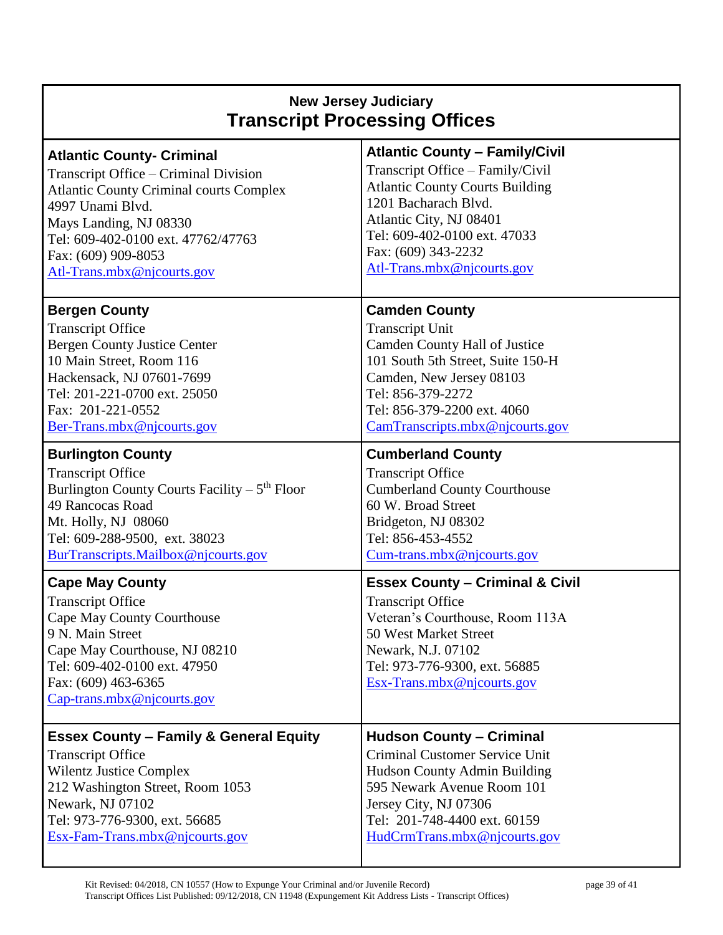| <b>New Jersey Judiciary</b><br><b>Transcript Processing Offices</b>                                                                                                                                                        |                                                                                                                                                                                                                         |  |
|----------------------------------------------------------------------------------------------------------------------------------------------------------------------------------------------------------------------------|-------------------------------------------------------------------------------------------------------------------------------------------------------------------------------------------------------------------------|--|
| <b>Atlantic County- Criminal</b>                                                                                                                                                                                           | <b>Atlantic County - Family/Civil</b>                                                                                                                                                                                   |  |
| Transcript Office – Criminal Division                                                                                                                                                                                      | Transcript Office - Family/Civil                                                                                                                                                                                        |  |
| <b>Atlantic County Criminal courts Complex</b>                                                                                                                                                                             | <b>Atlantic County Courts Building</b>                                                                                                                                                                                  |  |
| 4997 Unami Blvd.                                                                                                                                                                                                           | 1201 Bacharach Blvd.                                                                                                                                                                                                    |  |
| Mays Landing, NJ 08330                                                                                                                                                                                                     | Atlantic City, NJ 08401                                                                                                                                                                                                 |  |
| Tel: 609-402-0100 ext. 47762/47763                                                                                                                                                                                         | Tel: 609-402-0100 ext. 47033                                                                                                                                                                                            |  |
| Fax: (609) 909-8053                                                                                                                                                                                                        | Fax: (609) 343-2232                                                                                                                                                                                                     |  |
| Atl-Trans.mbx@njcourts.gov                                                                                                                                                                                                 | Atl-Trans.mbx@njcourts.gov                                                                                                                                                                                              |  |
| <b>Bergen County</b>                                                                                                                                                                                                       | <b>Camden County</b>                                                                                                                                                                                                    |  |
| <b>Transcript Office</b>                                                                                                                                                                                                   | <b>Transcript Unit</b>                                                                                                                                                                                                  |  |
| <b>Bergen County Justice Center</b>                                                                                                                                                                                        | Camden County Hall of Justice                                                                                                                                                                                           |  |
| 10 Main Street, Room 116                                                                                                                                                                                                   | 101 South 5th Street, Suite 150-H                                                                                                                                                                                       |  |
| Hackensack, NJ 07601-7699                                                                                                                                                                                                  | Camden, New Jersey 08103                                                                                                                                                                                                |  |
| Tel: 201-221-0700 ext. 25050                                                                                                                                                                                               | Tel: 856-379-2272                                                                                                                                                                                                       |  |
| Fax: 201-221-0552                                                                                                                                                                                                          | Tel: 856-379-2200 ext. 4060                                                                                                                                                                                             |  |
| Ber-Trans.mbx@njcourts.gov                                                                                                                                                                                                 | CamTranscripts.mbx@njcourts.gov                                                                                                                                                                                         |  |
| <b>Burlington County</b>                                                                                                                                                                                                   | <b>Cumberland County</b>                                                                                                                                                                                                |  |
| <b>Transcript Office</b>                                                                                                                                                                                                   | <b>Transcript Office</b>                                                                                                                                                                                                |  |
| Burlington County Courts Facility $-5th$ Floor                                                                                                                                                                             | <b>Cumberland County Courthouse</b>                                                                                                                                                                                     |  |
| 49 Rancocas Road                                                                                                                                                                                                           | 60 W. Broad Street                                                                                                                                                                                                      |  |
| Mt. Holly, NJ 08060                                                                                                                                                                                                        | Bridgeton, NJ 08302                                                                                                                                                                                                     |  |
| Tel: 609-288-9500, ext. 38023                                                                                                                                                                                              | Tel: 856-453-4552                                                                                                                                                                                                       |  |
| BurTranscripts.Mailbox@njcourts.gov                                                                                                                                                                                        | Cum-trans.mbx@njcourts.gov                                                                                                                                                                                              |  |
| <b>Cape May County</b><br><b>Transcript Office</b><br>Cape May County Courthouse<br>9 N. Main Street<br>Cape May Courthouse, NJ 08210<br>Tel: 609-402-0100 ext. 47950<br>Fax: (609) 463-6365<br>Cap-trans.mbx@njcourts.gov | <b>Essex County - Criminal &amp; Civil</b><br><b>Transcript Office</b><br>Veteran's Courthouse, Room 113A<br>50 West Market Street<br>Newark, N.J. 07102<br>Tel: 973-776-9300, ext. 56885<br>Esx-Trans.mbx@njcourts.gov |  |
| <b>Essex County - Family &amp; General Equity</b>                                                                                                                                                                          | <b>Hudson County - Criminal</b>                                                                                                                                                                                         |  |
| <b>Transcript Office</b>                                                                                                                                                                                                   | Criminal Customer Service Unit                                                                                                                                                                                          |  |
| <b>Wilentz Justice Complex</b>                                                                                                                                                                                             | Hudson County Admin Building                                                                                                                                                                                            |  |
| 212 Washington Street, Room 1053                                                                                                                                                                                           | 595 Newark Avenue Room 101                                                                                                                                                                                              |  |
| Newark, NJ 07102                                                                                                                                                                                                           | Jersey City, NJ 07306                                                                                                                                                                                                   |  |
| Tel: 973-776-9300, ext. 56685                                                                                                                                                                                              | Tel: 201-748-4400 ext. 60159                                                                                                                                                                                            |  |
| Esx-Fam-Trans.mbx@njcourts.gov                                                                                                                                                                                             | HudCrmTrans.mbx@njcourts.gov                                                                                                                                                                                            |  |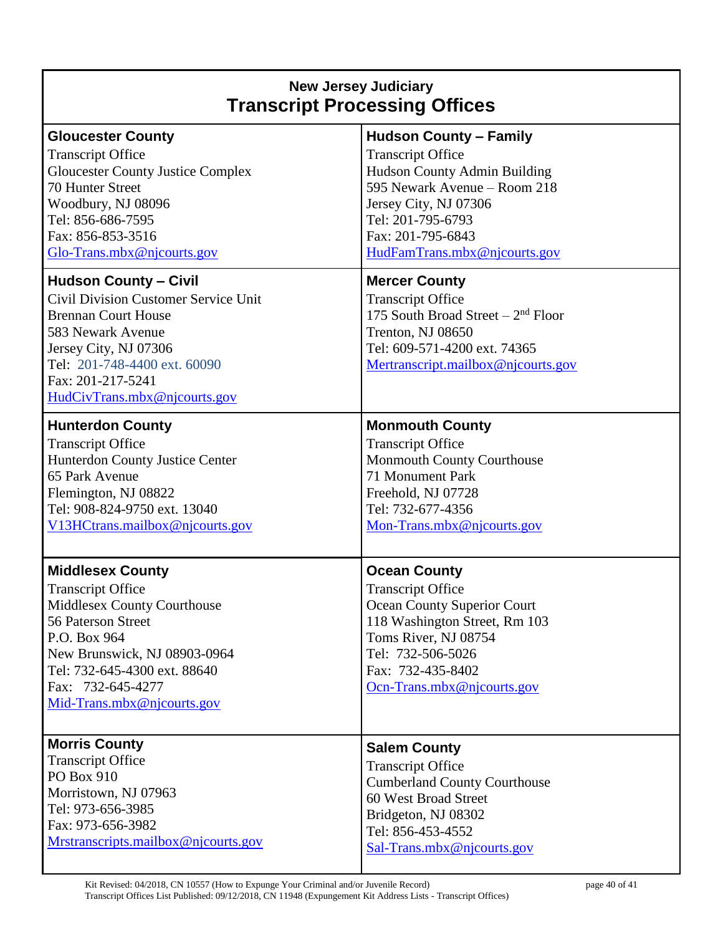# **New Jersey Judiciary Transcript Processing Offices**

| <b>Gloucester County</b><br><b>Transcript Office</b><br><b>Gloucester County Justice Complex</b><br>70 Hunter Street<br>Woodbury, NJ 08096<br>Tel: 856-686-7595<br>Fax: 856-853-3516<br>Glo-Trans.mbx@njcourts.gov<br><b>Hudson County - Civil</b><br><b>Civil Division Customer Service Unit</b><br><b>Brennan Court House</b><br>583 Newark Avenue<br>Jersey City, NJ 07306<br>Tel: 201-748-4400 ext. 60090<br>Fax: 201-217-5241 | <b>Hudson County - Family</b><br><b>Transcript Office</b><br>Hudson County Admin Building<br>595 Newark Avenue – Room 218<br>Jersey City, NJ 07306<br>Tel: 201-795-6793<br>Fax: 201-795-6843<br>HudFamTrans.mbx@njcourts.gov<br><b>Mercer County</b><br><b>Transcript Office</b><br>175 South Broad Street $-2nd$ Floor<br>Trenton, NJ 08650<br>Tel: 609-571-4200 ext. 74365<br>Mertranscript.mailbox@njcourts.gov |
|------------------------------------------------------------------------------------------------------------------------------------------------------------------------------------------------------------------------------------------------------------------------------------------------------------------------------------------------------------------------------------------------------------------------------------|--------------------------------------------------------------------------------------------------------------------------------------------------------------------------------------------------------------------------------------------------------------------------------------------------------------------------------------------------------------------------------------------------------------------|
| HudCivTrans.mbx@njcourts.gov                                                                                                                                                                                                                                                                                                                                                                                                       |                                                                                                                                                                                                                                                                                                                                                                                                                    |
| <b>Hunterdon County</b><br><b>Transcript Office</b><br>Hunterdon County Justice Center<br>65 Park Avenue<br>Flemington, NJ 08822<br>Tel: 908-824-9750 ext. 13040<br>V13HCtrans.mailbox@njcourts.gov                                                                                                                                                                                                                                | <b>Monmouth County</b><br><b>Transcript Office</b><br>Monmouth County Courthouse<br>71 Monument Park<br>Freehold, NJ 07728<br>Tel: 732-677-4356<br>Mon-Trans.mbx@njcourts.gov                                                                                                                                                                                                                                      |
| <b>Middlesex County</b><br><b>Transcript Office</b><br>Middlesex County Courthouse<br>56 Paterson Street<br>P.O. Box 964<br>New Brunswick, NJ 08903-0964<br>Tel: 732-645-4300 ext. 88640<br>Fax: 732-645-4277<br>Mid-Trans.mbx@njcourts.gov                                                                                                                                                                                        | <b>Ocean County</b><br><b>Transcript Office</b><br>Ocean County Superior Court<br>118 Washington Street, Rm 103<br>Toms River, NJ 08754<br>Tel: 732-506-5026<br>Fax: 732-435-8402<br>Ocn-Trans.mbx@njcourts.gov                                                                                                                                                                                                    |
| <b>Morris County</b><br><b>Transcript Office</b><br>PO Box 910<br>Morristown, NJ 07963<br>Tel: 973-656-3985<br>Fax: 973-656-3982<br>Mrstranscripts.mailbox@njcourts.gov                                                                                                                                                                                                                                                            | <b>Salem County</b><br><b>Transcript Office</b><br><b>Cumberland County Courthouse</b><br>60 West Broad Street<br>Bridgeton, NJ 08302<br>Tel: 856-453-4552<br>Sal-Trans.mbx@njcourts.gov                                                                                                                                                                                                                           |